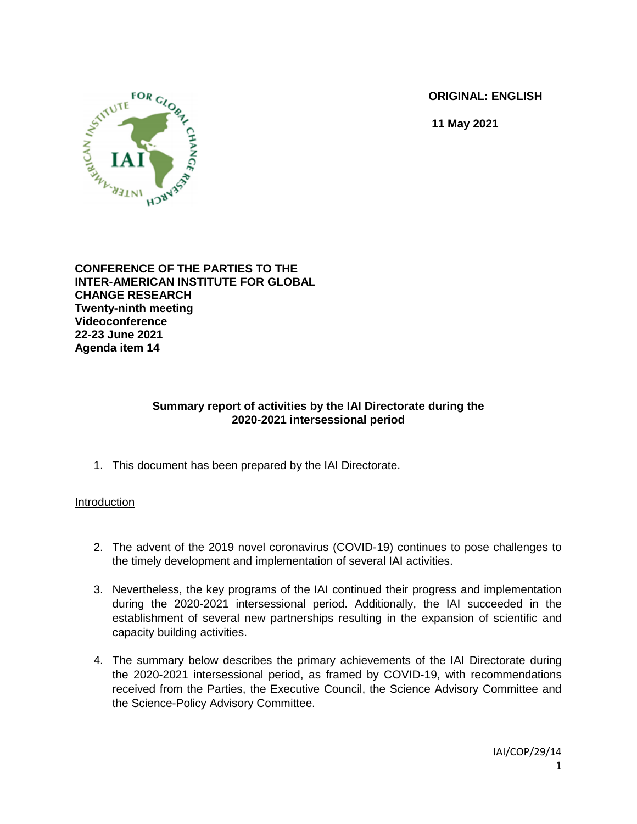**ORIGINAL: ENGLISH**

**11 May 2021**



**CONFERENCE OF THE PARTIES TO THE INTER-AMERICAN INSTITUTE FOR GLOBAL CHANGE RESEARCH Twenty-ninth meeting Videoconference 22-23 June 2021 Agenda item 14**

### **Summary report of activities by the IAI Directorate during the 2020-2021 intersessional period**

1. This document has been prepared by the IAI Directorate.

### Introduction

- 2. The advent of the 2019 novel coronavirus (COVID-19) continues to pose challenges to the timely development and implementation of several IAI activities.
- 3. Nevertheless, the key programs of the IAI continued their progress and implementation during the 2020-2021 intersessional period. Additionally, the IAI succeeded in the establishment of several new partnerships resulting in the expansion of scientific and capacity building activities.
- 4. The summary below describes the primary achievements of the IAI Directorate during the 2020-2021 intersessional period, as framed by COVID-19, with recommendations received from the Parties, the Executive Council, the Science Advisory Committee and the Science-Policy Advisory Committee.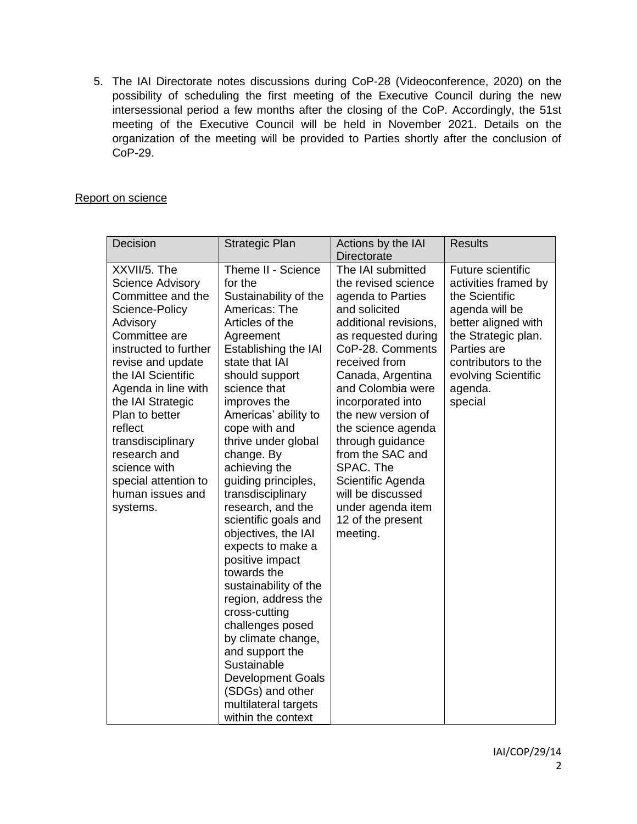5. The IAI Directorate notes discussions during CoP-28 (Videoconference, 2020) on the possibility of scheduling the first meeting of the Executive Council during the new intersessional period a few months after the closing of the CoP. Accordingly, the 51st meeting of the Executive Council will be held in November 2021. Details on the organization of the meeting will be provided to Parties shortly after the conclusion of CoP-29.

### Report on science

| Decision                                                                                                                                                                                                                                                                                                                                                              | <b>Strategic Plan</b>                                                                                                                                                                                                                                                                                                                                                                                                                                                                                                                                                                                                                                                                                                | Actions by the IAI<br><b>Directorate</b>                                                                                                                                                                                                                                                                                                                                                                                            | <b>Results</b>                                                                                                                                                                                                        |
|-----------------------------------------------------------------------------------------------------------------------------------------------------------------------------------------------------------------------------------------------------------------------------------------------------------------------------------------------------------------------|----------------------------------------------------------------------------------------------------------------------------------------------------------------------------------------------------------------------------------------------------------------------------------------------------------------------------------------------------------------------------------------------------------------------------------------------------------------------------------------------------------------------------------------------------------------------------------------------------------------------------------------------------------------------------------------------------------------------|-------------------------------------------------------------------------------------------------------------------------------------------------------------------------------------------------------------------------------------------------------------------------------------------------------------------------------------------------------------------------------------------------------------------------------------|-----------------------------------------------------------------------------------------------------------------------------------------------------------------------------------------------------------------------|
| XXVII/5. The<br><b>Science Advisory</b><br>Committee and the<br>Science-Policy<br>Advisory<br>Committee are<br>instructed to further<br>revise and update<br>the IAI Scientific<br>Agenda in line with<br>the IAI Strategic<br>Plan to better<br>reflect<br>transdisciplinary<br>research and<br>science with<br>special attention to<br>human issues and<br>systems. | Theme II - Science<br>for the<br>Sustainability of the<br>Americas: The<br>Articles of the<br>Agreement<br>Establishing the IAI<br>state that IAI<br>should support<br>science that<br>improves the<br>Americas' ability to<br>cope with and<br>thrive under global<br>change. By<br>achieving the<br>guiding principles,<br>transdisciplinary<br>research, and the<br>scientific goals and<br>objectives, the IAI<br>expects to make a<br>positive impact<br>towards the<br>sustainability of the<br>region, address the<br>cross-cutting<br>challenges posed<br>by climate change,<br>and support the<br>Sustainable<br><b>Development Goals</b><br>(SDGs) and other<br>multilateral targets<br>within the context | The IAI submitted<br>the revised science<br>agenda to Parties<br>and solicited<br>additional revisions,<br>as requested during<br>CoP-28. Comments<br>received from<br>Canada, Argentina<br>and Colombia were<br>incorporated into<br>the new version of<br>the science agenda<br>through guidance<br>from the SAC and<br>SPAC. The<br>Scientific Agenda<br>will be discussed<br>under agenda item<br>12 of the present<br>meeting. | <b>Future scientific</b><br>activities framed by<br>the Scientific<br>agenda will be<br>better aligned with<br>the Strategic plan.<br>Parties are<br>contributors to the<br>evolving Scientific<br>agenda.<br>special |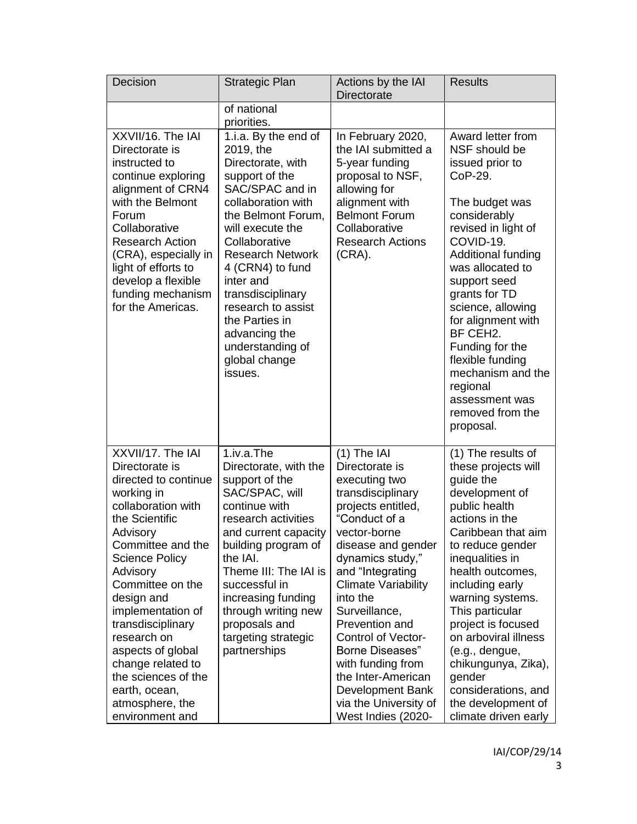| Decision                                                                                                                                                                                                                                                                                                                                                                                                   | <b>Strategic Plan</b>                                                                                                                                                                                                                                                                                                                                                  | Actions by the IAI<br>Directorate                                                                                                                                                                                                                                                                                                                                                                                                     | <b>Results</b>                                                                                                                                                                                                                                                                                                                                                                                                               |
|------------------------------------------------------------------------------------------------------------------------------------------------------------------------------------------------------------------------------------------------------------------------------------------------------------------------------------------------------------------------------------------------------------|------------------------------------------------------------------------------------------------------------------------------------------------------------------------------------------------------------------------------------------------------------------------------------------------------------------------------------------------------------------------|---------------------------------------------------------------------------------------------------------------------------------------------------------------------------------------------------------------------------------------------------------------------------------------------------------------------------------------------------------------------------------------------------------------------------------------|------------------------------------------------------------------------------------------------------------------------------------------------------------------------------------------------------------------------------------------------------------------------------------------------------------------------------------------------------------------------------------------------------------------------------|
|                                                                                                                                                                                                                                                                                                                                                                                                            | of national<br>priorities.                                                                                                                                                                                                                                                                                                                                             |                                                                                                                                                                                                                                                                                                                                                                                                                                       |                                                                                                                                                                                                                                                                                                                                                                                                                              |
| XXVII/16. The IAI<br>Directorate is<br>instructed to<br>continue exploring<br>alignment of CRN4<br>with the Belmont<br>Forum<br>Collaborative<br><b>Research Action</b><br>(CRA), especially in<br>light of efforts to<br>develop a flexible<br>funding mechanism<br>for the Americas.                                                                                                                     | 1.i.a. By the end of<br>2019, the<br>Directorate, with<br>support of the<br>SAC/SPAC and in<br>collaboration with<br>the Belmont Forum,<br>will execute the<br>Collaborative<br><b>Research Network</b><br>4 (CRN4) to fund<br>inter and<br>transdisciplinary<br>research to assist<br>the Parties in<br>advancing the<br>understanding of<br>global change<br>issues. | In February 2020,<br>the IAI submitted a<br>5-year funding<br>proposal to NSF,<br>allowing for<br>alignment with<br><b>Belmont Forum</b><br>Collaborative<br><b>Research Actions</b><br>$(CRA)$ .                                                                                                                                                                                                                                     | Award letter from<br>NSF should be<br>issued prior to<br>CoP-29.<br>The budget was<br>considerably<br>revised in light of<br>COVID-19.<br>Additional funding<br>was allocated to<br>support seed<br>grants for TD<br>science, allowing<br>for alignment with<br>BF CEH2.<br>Funding for the<br>flexible funding<br>mechanism and the<br>regional<br>assessment was<br>removed from the<br>proposal.                          |
| XXVII/17. The IAI<br>Directorate is<br>directed to continue<br>working in<br>collaboration with<br>the Scientific<br>Advisory<br>Committee and the<br><b>Science Policy</b><br>Advisory<br>Committee on the<br>design and<br>implementation of<br>transdisciplinary<br>research on<br>aspects of global<br>change related to<br>the sciences of the<br>earth, ocean,<br>atmosphere, the<br>environment and | 1.iv.a.The<br>Directorate, with the<br>support of the<br>SAC/SPAC, will<br>continue with<br>research activities<br>and current capacity<br>building program of<br>the IAI.<br>Theme III: The IAI is<br>successful in<br>increasing funding<br>through writing new<br>proposals and<br>targeting strategic<br>partnerships                                              | $(1)$ The IAI<br>Directorate is<br>executing two<br>transdisciplinary<br>projects entitled,<br>"Conduct of a<br>vector-borne<br>disease and gender<br>dynamics study,"<br>and "Integrating<br><b>Climate Variability</b><br>into the<br>Surveillance,<br>Prevention and<br><b>Control of Vector-</b><br>Borne Diseases"<br>with funding from<br>the Inter-American<br>Development Bank<br>via the University of<br>West Indies (2020- | (1) The results of<br>these projects will<br>guide the<br>development of<br>public health<br>actions in the<br>Caribbean that aim<br>to reduce gender<br>inequalities in<br>health outcomes,<br>including early<br>warning systems.<br>This particular<br>project is focused<br>on arboviral illness<br>(e.g., dengue,<br>chikungunya, Zika),<br>gender<br>considerations, and<br>the development of<br>climate driven early |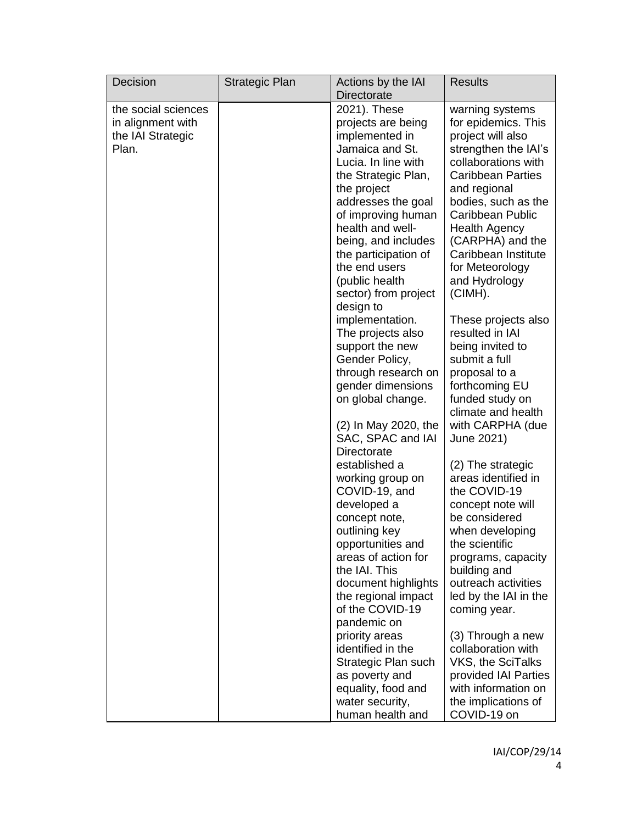| Decision            | Strategic Plan | Actions by the IAI<br><b>Directorate</b> | <b>Results</b>                           |
|---------------------|----------------|------------------------------------------|------------------------------------------|
| the social sciences |                | 2021). These                             | warning systems                          |
| in alignment with   |                | projects are being                       | for epidemics. This                      |
| the IAI Strategic   |                | implemented in                           | project will also                        |
| Plan.               |                | Jamaica and St.                          | strengthen the IAI's                     |
|                     |                | Lucia. In line with                      | collaborations with                      |
|                     |                | the Strategic Plan,                      | <b>Caribbean Parties</b>                 |
|                     |                | the project                              | and regional                             |
|                     |                | addresses the goal                       | bodies, such as the                      |
|                     |                | of improving human                       | <b>Caribbean Public</b>                  |
|                     |                | health and well-                         | <b>Health Agency</b>                     |
|                     |                | being, and includes                      | (CARPHA) and the                         |
|                     |                | the participation of                     | Caribbean Institute                      |
|                     |                | the end users                            | for Meteorology                          |
|                     |                | (public health                           | and Hydrology                            |
|                     |                | sector) from project<br>design to        | (CIMH).                                  |
|                     |                | implementation.                          | These projects also                      |
|                     |                | The projects also                        | resulted in IAI                          |
|                     |                | support the new                          | being invited to                         |
|                     |                | Gender Policy,                           | submit a full                            |
|                     |                | through research on                      | proposal to a                            |
|                     |                | gender dimensions                        | forthcoming EU                           |
|                     |                | on global change.                        | funded study on                          |
|                     |                |                                          | climate and health                       |
|                     |                | (2) In May 2020, the                     | with CARPHA (due                         |
|                     |                | SAC, SPAC and IAI                        | June 2021)                               |
|                     |                | <b>Directorate</b><br>established a      |                                          |
|                     |                | working group on                         | (2) The strategic<br>areas identified in |
|                     |                | COVID-19, and                            | the COVID-19                             |
|                     |                | developed a                              | concept note will                        |
|                     |                | concept note,                            | be considered                            |
|                     |                | outlining key                            | when developing                          |
|                     |                | opportunities and                        | the scientific                           |
|                     |                | areas of action for                      | programs, capacity                       |
|                     |                | the IAI. This                            | building and                             |
|                     |                | document highlights                      | outreach activities                      |
|                     |                | the regional impact                      | led by the IAI in the                    |
|                     |                | of the COVID-19<br>pandemic on           | coming year.                             |
|                     |                | priority areas                           | (3) Through a new                        |
|                     |                | identified in the                        | collaboration with                       |
|                     |                | Strategic Plan such                      | VKS, the SciTalks                        |
|                     |                | as poverty and                           | provided IAI Parties                     |
|                     |                | equality, food and                       | with information on                      |
|                     |                | water security,                          | the implications of                      |
|                     |                | human health and                         | COVID-19 on                              |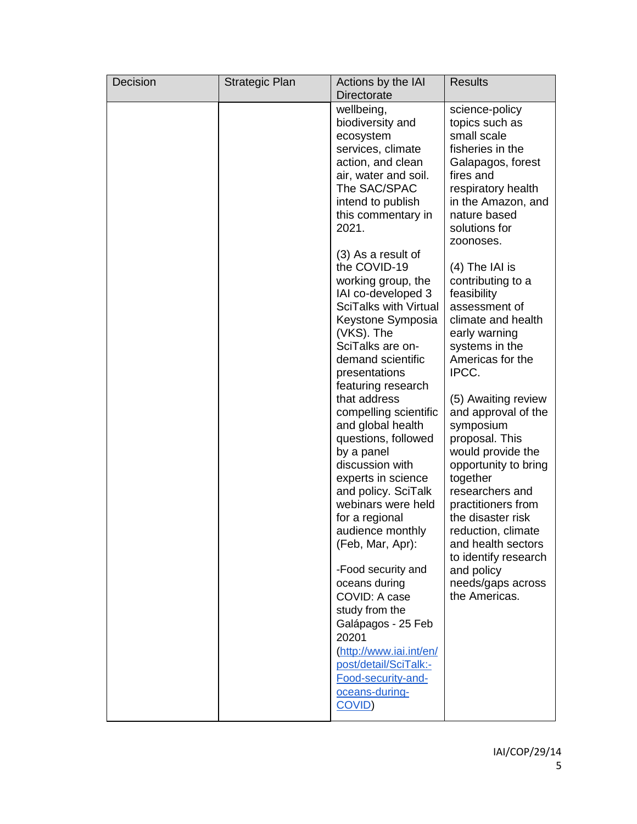| Decision | <b>Strategic Plan</b> | Actions by the IAI<br><b>Directorate</b>                                                                                                                                                                                                                                                                                                                                                                                                                                                                                                                                                                                                                                                                                                                                                                                                                                                   | <b>Results</b>                                                                                                                                                                                                                                                                                                                                                                                                                                                                                                                                                                                                                                                                             |
|----------|-----------------------|--------------------------------------------------------------------------------------------------------------------------------------------------------------------------------------------------------------------------------------------------------------------------------------------------------------------------------------------------------------------------------------------------------------------------------------------------------------------------------------------------------------------------------------------------------------------------------------------------------------------------------------------------------------------------------------------------------------------------------------------------------------------------------------------------------------------------------------------------------------------------------------------|--------------------------------------------------------------------------------------------------------------------------------------------------------------------------------------------------------------------------------------------------------------------------------------------------------------------------------------------------------------------------------------------------------------------------------------------------------------------------------------------------------------------------------------------------------------------------------------------------------------------------------------------------------------------------------------------|
|          |                       | wellbeing,<br>biodiversity and<br>ecosystem<br>services, climate<br>action, and clean<br>air, water and soil.<br>The SAC/SPAC<br>intend to publish<br>this commentary in<br>2021.<br>$(3)$ As a result of<br>the COVID-19<br>working group, the<br>IAI co-developed 3<br><b>SciTalks with Virtual</b><br>Keystone Symposia<br>(VKS). The<br>SciTalks are on-<br>demand scientific<br>presentations<br>featuring research<br>that address<br>compelling scientific<br>and global health<br>questions, followed<br>by a panel<br>discussion with<br>experts in science<br>and policy. SciTalk<br>webinars were held<br>for a regional<br>audience monthly<br>(Feb, Mar, Apr):<br>-Food security and<br>oceans during<br>COVID: A case<br>study from the<br>Galápagos - 25 Feb<br>20201<br>(http://www.iai.int/en/<br>post/detail/SciTalk:-<br>Food-security-and-<br>oceans-during-<br>COVID) | science-policy<br>topics such as<br>small scale<br>fisheries in the<br>Galapagos, forest<br>fires and<br>respiratory health<br>in the Amazon, and<br>nature based<br>solutions for<br>zoonoses.<br>$(4)$ The IAI is<br>contributing to a<br>feasibility<br>assessment of<br>climate and health<br>early warning<br>systems in the<br>Americas for the<br>IPCC.<br>(5) Awaiting review<br>and approval of the<br>symposium<br>proposal. This<br>would provide the<br>opportunity to bring<br>together<br>researchers and<br>practitioners from<br>the disaster risk<br>reduction, climate<br>and health sectors<br>to identify research<br>and policy<br>needs/gaps across<br>the Americas. |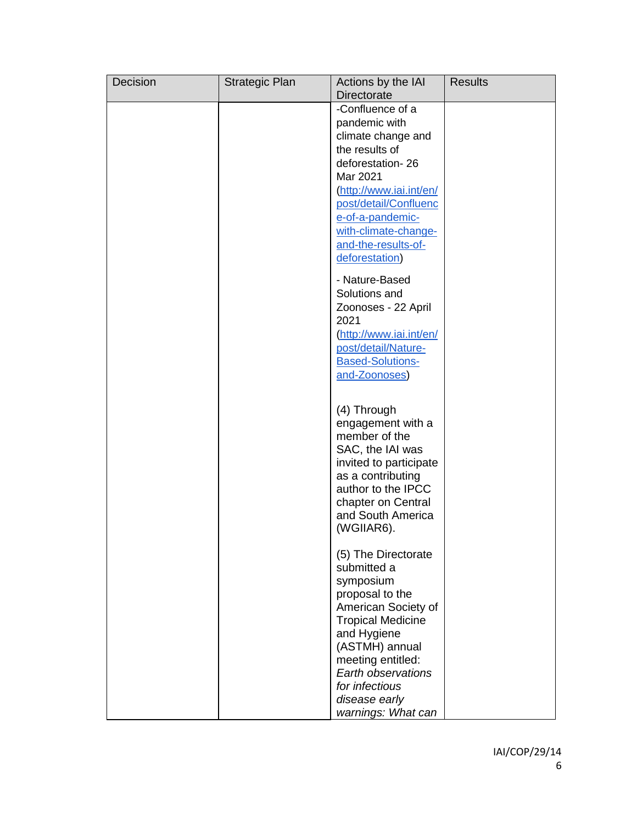| Decision | <b>Strategic Plan</b> | Actions by the IAI<br><b>Directorate</b>                                                                                                                                                                                                                   | <b>Results</b> |
|----------|-----------------------|------------------------------------------------------------------------------------------------------------------------------------------------------------------------------------------------------------------------------------------------------------|----------------|
|          |                       | -Confluence of a<br>pandemic with<br>climate change and<br>the results of<br>deforestation-26<br>Mar 2021<br>http://www.iai.int/en/<br>post/detail/Confluenc<br>e-of-a-pandemic-<br>with-climate-change-<br>and-the-results-of-<br>deforestation)          |                |
|          |                       | - Nature-Based<br>Solutions and<br>Zoonoses - 22 April<br>2021<br>(http://www.iai.int/en/<br>post/detail/Nature-<br><b>Based-Solutions-</b><br>and-Zoonoses)                                                                                               |                |
|          |                       | (4) Through<br>engagement with a<br>member of the<br>SAC, the IAI was<br>invited to participate<br>as a contributing<br>author to the IPCC<br>chapter on Central<br>and South America<br>(WGIIAR6).                                                        |                |
|          |                       | (5) The Directorate<br>submitted a<br>symposium<br>proposal to the<br>American Society of<br><b>Tropical Medicine</b><br>and Hygiene<br>(ASTMH) annual<br>meeting entitled:<br>Earth observations<br>for infectious<br>disease early<br>warnings: What can |                |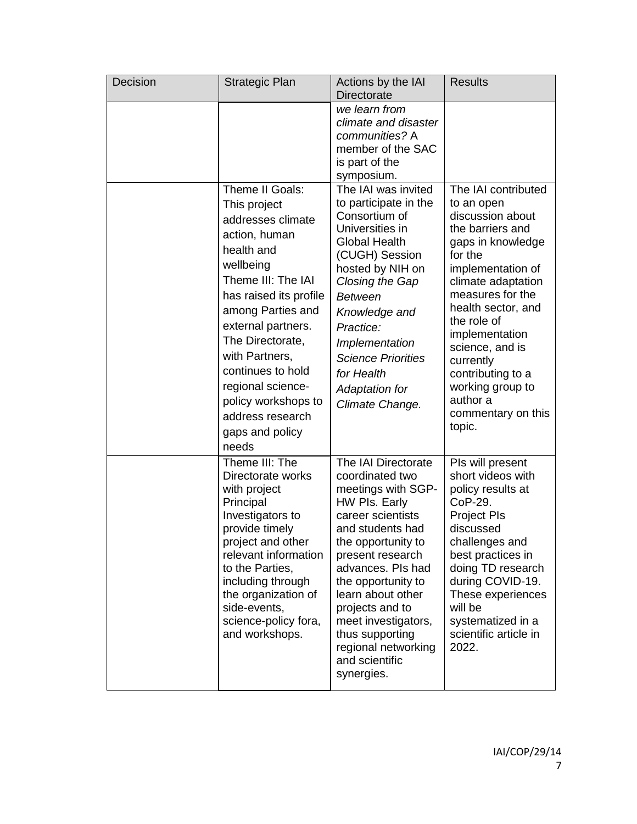| Decision | Strategic Plan                                                                                                                                                                                                                                                                                                                                     | Actions by the IAI<br><b>Directorate</b>                                                                                                                                                                                                                                                                                                             | <b>Results</b>                                                                                                                                                                                                                                                                                                                                       |
|----------|----------------------------------------------------------------------------------------------------------------------------------------------------------------------------------------------------------------------------------------------------------------------------------------------------------------------------------------------------|------------------------------------------------------------------------------------------------------------------------------------------------------------------------------------------------------------------------------------------------------------------------------------------------------------------------------------------------------|------------------------------------------------------------------------------------------------------------------------------------------------------------------------------------------------------------------------------------------------------------------------------------------------------------------------------------------------------|
|          |                                                                                                                                                                                                                                                                                                                                                    | we learn from<br>climate and disaster<br>communities? A<br>member of the SAC<br>is part of the<br>symposium.                                                                                                                                                                                                                                         |                                                                                                                                                                                                                                                                                                                                                      |
|          | Theme II Goals:<br>This project<br>addresses climate<br>action, human<br>health and<br>wellbeing<br>Theme III: The IAI<br>has raised its profile<br>among Parties and<br>external partners.<br>The Directorate,<br>with Partners,<br>continues to hold<br>regional science-<br>policy workshops to<br>address research<br>gaps and policy<br>needs | The IAI was invited<br>to participate in the<br>Consortium of<br>Universities in<br><b>Global Health</b><br>(CUGH) Session<br>hosted by NIH on<br>Closing the Gap<br><b>Between</b><br>Knowledge and<br>Practice:<br>Implementation<br><b>Science Priorities</b><br>for Health<br><b>Adaptation for</b><br>Climate Change.                           | The IAI contributed<br>to an open<br>discussion about<br>the barriers and<br>gaps in knowledge<br>for the<br>implementation of<br>climate adaptation<br>measures for the<br>health sector, and<br>the role of<br>implementation<br>science, and is<br>currently<br>contributing to a<br>working group to<br>author a<br>commentary on this<br>topic. |
|          | Theme III: The<br>Directorate works<br>with project<br>Principal<br>Investigators to<br>provide timely<br>project and other<br>relevant information<br>to the Parties,<br>including through<br>the organization of<br>side-events.<br>science-policy fora,<br>and workshops.                                                                       | The IAI Directorate<br>coordinated two<br>meetings with SGP-<br>HW PIs. Early<br>career scientists<br>and students had<br>the opportunity to<br>present research<br>advances. PIs had<br>the opportunity to<br>learn about other<br>projects and to<br>meet investigators,<br>thus supporting<br>regional networking<br>and scientific<br>synergies. | Pls will present<br>short videos with<br>policy results at<br>CoP-29.<br><b>Project PIs</b><br>discussed<br>challenges and<br>best practices in<br>doing TD research<br>during COVID-19.<br>These experiences<br>will be<br>systematized in a<br>scientific article in<br>2022.                                                                      |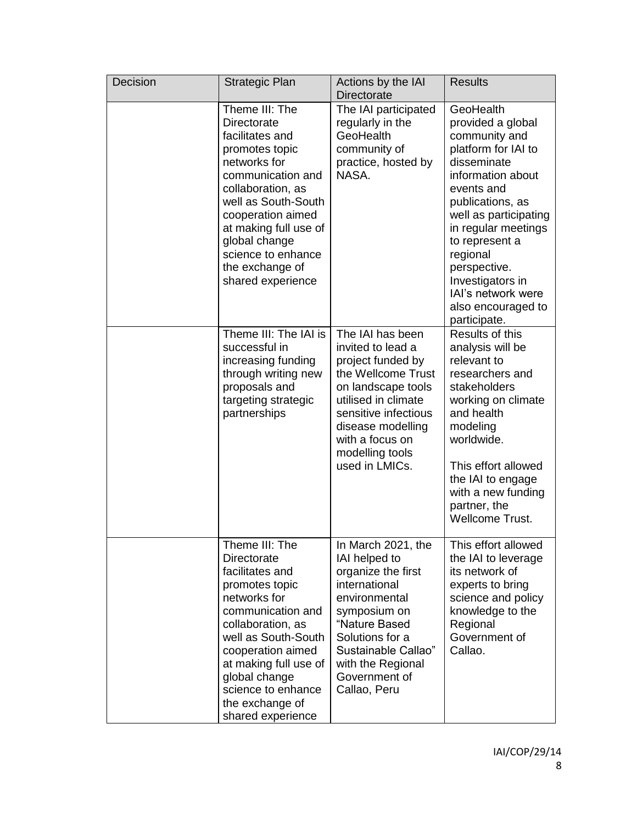| Decision | <b>Strategic Plan</b>                                                                                                                                                                                                                                                                   | Actions by the IAI<br><b>Directorate</b>                                                                                                                                                                                           | <b>Results</b>                                                                                                                                                                                                                                                                                                             |
|----------|-----------------------------------------------------------------------------------------------------------------------------------------------------------------------------------------------------------------------------------------------------------------------------------------|------------------------------------------------------------------------------------------------------------------------------------------------------------------------------------------------------------------------------------|----------------------------------------------------------------------------------------------------------------------------------------------------------------------------------------------------------------------------------------------------------------------------------------------------------------------------|
|          | Theme III: The<br>Directorate<br>facilitates and<br>promotes topic<br>networks for<br>communication and<br>collaboration, as<br>well as South-South<br>cooperation aimed<br>at making full use of<br>global change<br>science to enhance<br>the exchange of<br>shared experience        | The IAI participated<br>regularly in the<br>GeoHealth<br>community of<br>practice, hosted by<br>NASA.                                                                                                                              | GeoHealth<br>provided a global<br>community and<br>platform for IAI to<br>disseminate<br>information about<br>events and<br>publications, as<br>well as participating<br>in regular meetings<br>to represent a<br>regional<br>perspective.<br>Investigators in<br>IAI's network were<br>also encouraged to<br>participate. |
|          | Theme III: The IAI is<br>successful in<br>increasing funding<br>through writing new<br>proposals and<br>targeting strategic<br>partnerships                                                                                                                                             | The IAI has been<br>invited to lead a<br>project funded by<br>the Wellcome Trust<br>on landscape tools<br>utilised in climate<br>sensitive infectious<br>disease modelling<br>with a focus on<br>modelling tools<br>used in LMICs. | Results of this<br>analysis will be<br>relevant to<br>researchers and<br>stakeholders<br>working on climate<br>and health<br>modeling<br>worldwide.<br>This effort allowed<br>the IAI to engage<br>with a new funding<br>partner, the<br><b>Wellcome Trust.</b>                                                            |
|          | Theme III: The<br><b>Directorate</b><br>facilitates and<br>promotes topic<br>networks for<br>communication and<br>collaboration, as<br>well as South-South<br>cooperation aimed<br>at making full use of<br>global change<br>science to enhance<br>the exchange of<br>shared experience | In March 2021, the<br>IAI helped to<br>organize the first<br>international<br>environmental<br>symposium on<br>"Nature Based<br>Solutions for a<br>Sustainable Callao"<br>with the Regional<br>Government of<br>Callao, Peru       | This effort allowed<br>the IAI to leverage<br>its network of<br>experts to bring<br>science and policy<br>knowledge to the<br>Regional<br>Government of<br>Callao.                                                                                                                                                         |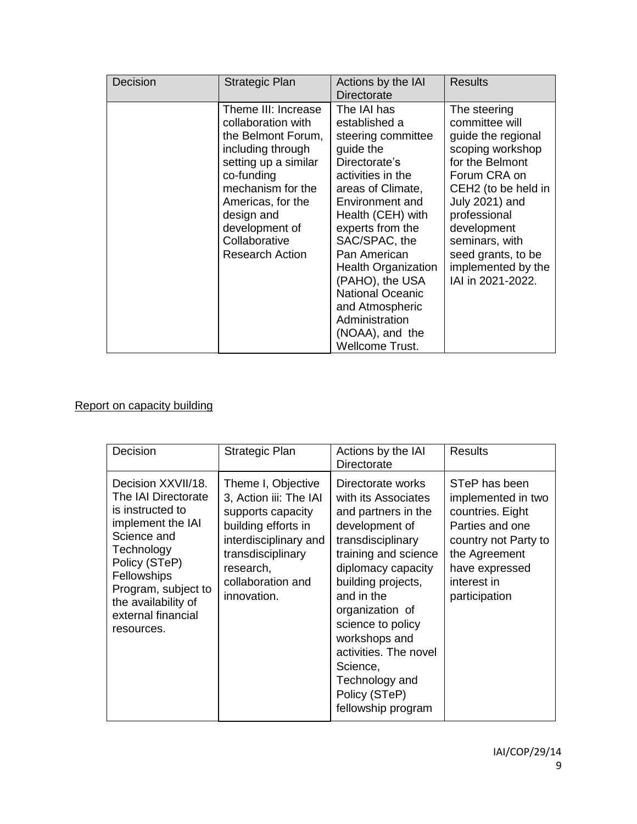| Decision | <b>Strategic Plan</b>                                                                                                                                                                                                                           | Actions by the IAI<br>Directorate                                                                                                                                                                                                                                                                                                                                                     | <b>Results</b>                                                                                                                                                                                                                                                                     |
|----------|-------------------------------------------------------------------------------------------------------------------------------------------------------------------------------------------------------------------------------------------------|---------------------------------------------------------------------------------------------------------------------------------------------------------------------------------------------------------------------------------------------------------------------------------------------------------------------------------------------------------------------------------------|------------------------------------------------------------------------------------------------------------------------------------------------------------------------------------------------------------------------------------------------------------------------------------|
|          | Theme III: Increase<br>collaboration with<br>the Belmont Forum,<br>including through<br>setting up a similar<br>co-funding<br>mechanism for the<br>Americas, for the<br>design and<br>development of<br>Collaborative<br><b>Research Action</b> | The IAI has<br>established a<br>steering committee<br>guide the<br>Directorate's<br>activities in the<br>areas of Climate,<br>Environment and<br>Health (CEH) with<br>experts from the<br>SAC/SPAC, the<br>Pan American<br><b>Health Organization</b><br>(PAHO), the USA<br><b>National Oceanic</b><br>and Atmospheric<br>Administration<br>(NOAA), and the<br><b>Wellcome Trust.</b> | The steering<br>committee will<br>guide the regional<br>scoping workshop<br>for the Belmont<br>Forum CRA on<br>CEH <sub>2</sub> (to be held in<br>July 2021) and<br>professional<br>development<br>seminars, with<br>seed grants, to be<br>implemented by the<br>IAI in 2021-2022. |

### Report on capacity building

| Decision                                                                                                                                                                                                                          | Strategic Plan                                                                                                                                                                          | Actions by the IAI<br>Directorate                                                                                                                                                                                                                                                                                                               | <b>Results</b>                                                                                                                                                        |
|-----------------------------------------------------------------------------------------------------------------------------------------------------------------------------------------------------------------------------------|-----------------------------------------------------------------------------------------------------------------------------------------------------------------------------------------|-------------------------------------------------------------------------------------------------------------------------------------------------------------------------------------------------------------------------------------------------------------------------------------------------------------------------------------------------|-----------------------------------------------------------------------------------------------------------------------------------------------------------------------|
| Decision XXVII/18.<br>The IAI Directorate<br>is instructed to<br>implement the IAI<br>Science and<br>Technology<br>Policy (STeP)<br>Fellowships<br>Program, subject to<br>the availability of<br>external financial<br>resources. | Theme I, Objective<br>3, Action iii: The IAI<br>supports capacity<br>building efforts in<br>interdisciplinary and<br>transdisciplinary<br>research,<br>collaboration and<br>innovation. | Directorate works<br>with its Associates<br>and partners in the<br>development of<br>transdisciplinary<br>training and science<br>diplomacy capacity<br>building projects,<br>and in the<br>organization of<br>science to policy<br>workshops and<br>activities. The novel<br>Science,<br>Technology and<br>Policy (STeP)<br>fellowship program | STeP has been<br>implemented in two<br>countries. Eight<br>Parties and one<br>country not Party to<br>the Agreement<br>have expressed<br>interest in<br>participation |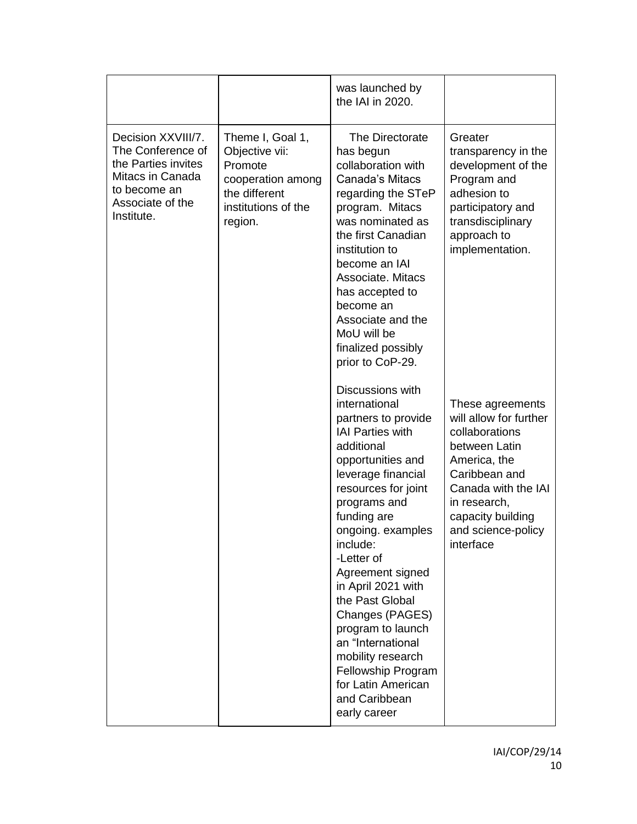|                                                                                                                                      |                                                                                                                       | was launched by<br>the IAI in 2020.                                                                                                                                                                                                                                                                                                                                                                                                                                           |                                                                                                                                                                                                               |
|--------------------------------------------------------------------------------------------------------------------------------------|-----------------------------------------------------------------------------------------------------------------------|-------------------------------------------------------------------------------------------------------------------------------------------------------------------------------------------------------------------------------------------------------------------------------------------------------------------------------------------------------------------------------------------------------------------------------------------------------------------------------|---------------------------------------------------------------------------------------------------------------------------------------------------------------------------------------------------------------|
| Decision XXVIII/7.<br>The Conference of<br>the Parties invites<br>Mitacs in Canada<br>to become an<br>Associate of the<br>Institute. | Theme I, Goal 1,<br>Objective vii:<br>Promote<br>cooperation among<br>the different<br>institutions of the<br>region. | The Directorate<br>has begun<br>collaboration with<br>Canada's Mitacs<br>regarding the STeP<br>program. Mitacs<br>was nominated as<br>the first Canadian<br>institution to<br>become an IAI<br>Associate, Mitacs<br>has accepted to<br>become an<br>Associate and the<br>MoU will be<br>finalized possibly<br>prior to CoP-29.                                                                                                                                                | Greater<br>transparency in the<br>development of the<br>Program and<br>adhesion to<br>participatory and<br>transdisciplinary<br>approach to<br>implementation.                                                |
|                                                                                                                                      |                                                                                                                       | Discussions with<br>international<br>partners to provide<br><b>IAI Parties with</b><br>additional<br>opportunities and<br>leverage financial<br>resources for joint<br>programs and<br>funding are<br>ongoing. examples<br>include:<br>-Letter of<br>Agreement signed<br>in April 2021 with<br>the Past Global<br>Changes (PAGES)<br>program to launch<br>an "International<br>mobility research<br>Fellowship Program<br>for Latin American<br>and Caribbean<br>early career | These agreements<br>will allow for further<br>collaborations<br>between Latin<br>America, the<br>Caribbean and<br>Canada with the IAI<br>in research,<br>capacity building<br>and science-policy<br>interface |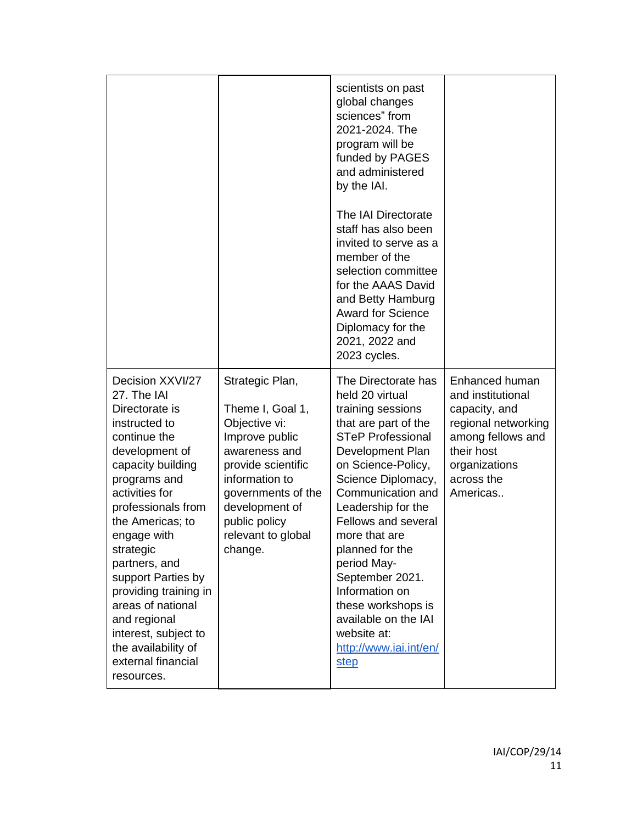|                                                                                                                                                                                                                                                                                                                                                                                                                           |                                                                                                                                                                                                                           | scientists on past<br>global changes<br>sciences" from<br>2021-2024. The<br>program will be<br>funded by PAGES<br>and administered<br>by the IAI.<br>The IAI Directorate<br>staff has also been<br>invited to serve as a<br>member of the<br>selection committee<br>for the AAAS David<br>and Betty Hamburg<br><b>Award for Science</b><br>Diplomacy for the<br>2021, 2022 and<br>2023 cycles.                                                  |                                                                                                                                                           |
|---------------------------------------------------------------------------------------------------------------------------------------------------------------------------------------------------------------------------------------------------------------------------------------------------------------------------------------------------------------------------------------------------------------------------|---------------------------------------------------------------------------------------------------------------------------------------------------------------------------------------------------------------------------|-------------------------------------------------------------------------------------------------------------------------------------------------------------------------------------------------------------------------------------------------------------------------------------------------------------------------------------------------------------------------------------------------------------------------------------------------|-----------------------------------------------------------------------------------------------------------------------------------------------------------|
| Decision XXVI/27<br>27. The IAI<br>Directorate is<br>instructed to<br>continue the<br>development of<br>capacity building<br>programs and<br>activities for<br>professionals from<br>the Americas; to<br>engage with<br>strategic<br>partners, and<br>support Parties by<br>providing training in<br>areas of national<br>and regional<br>interest, subject to<br>the availability of<br>external financial<br>resources. | Strategic Plan,<br>Theme I, Goal 1,<br>Objective vi:<br>Improve public<br>awareness and<br>provide scientific<br>information to<br>governments of the<br>development of<br>public policy<br>relevant to global<br>change. | The Directorate has<br>held 20 virtual<br>training sessions<br>that are part of the<br><b>STeP Professional</b><br>Development Plan<br>on Science-Policy,<br>Science Diplomacy,<br>Communication and<br>Leadership for the<br><b>Fellows and several</b><br>more that are<br>planned for the<br>period May-<br>September 2021.<br>Information on<br>these workshops is<br>available on the IAI<br>website at:<br>http://www.iai.int/en/<br>step | Enhanced human<br>and institutional<br>capacity, and<br>regional networking<br>among fellows and<br>their host<br>organizations<br>across the<br>Americas |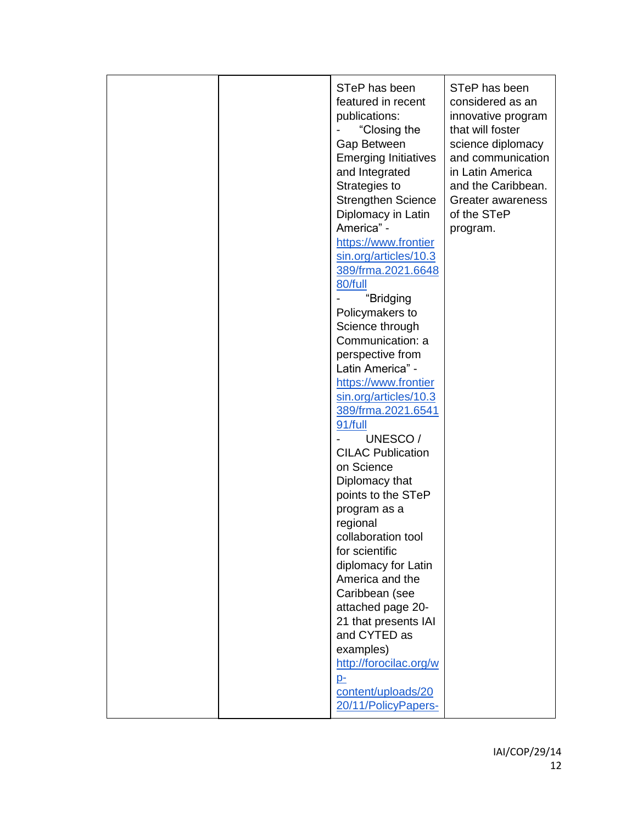|  | STeP has been<br>featured in recent<br>publications:<br>"Closing the<br>Gap Between<br><b>Emerging Initiatives</b><br>and Integrated<br>Strategies to<br><b>Strengthen Science</b><br>Diplomacy in Latin<br>America" -<br>https://www.frontier<br>sin.org/articles/10.3<br>389/frma.2021.6648<br>80/full<br>"Bridging<br>Policymakers to<br>Science through<br>Communication: a<br>perspective from<br>Latin America" -<br>https://www.frontier<br>sin.org/articles/10.3<br>389/frma.2021.6541<br>91/full<br>UNESCO/<br><b>CILAC Publication</b><br>on Science<br>Diplomacy that<br>points to the STeP<br>program as a<br>regional<br>collaboration tool<br>for scientific<br>diplomacy for Latin<br>America and the<br>Caribbean (see<br>attached page 20-<br>21 that presents IAI<br>and CYTED as<br>examples)<br>http://forocilac.org/w<br>$D-$<br>content/uploads/20 | STeP has been<br>considered as an<br>innovative program<br>that will foster<br>science diplomacy<br>and communication<br>in Latin America<br>and the Caribbean.<br>Greater awareness<br>of the STeP<br>program. |
|--|--------------------------------------------------------------------------------------------------------------------------------------------------------------------------------------------------------------------------------------------------------------------------------------------------------------------------------------------------------------------------------------------------------------------------------------------------------------------------------------------------------------------------------------------------------------------------------------------------------------------------------------------------------------------------------------------------------------------------------------------------------------------------------------------------------------------------------------------------------------------------|-----------------------------------------------------------------------------------------------------------------------------------------------------------------------------------------------------------------|
|  | 20/11/PolicyPapers-                                                                                                                                                                                                                                                                                                                                                                                                                                                                                                                                                                                                                                                                                                                                                                                                                                                      |                                                                                                                                                                                                                 |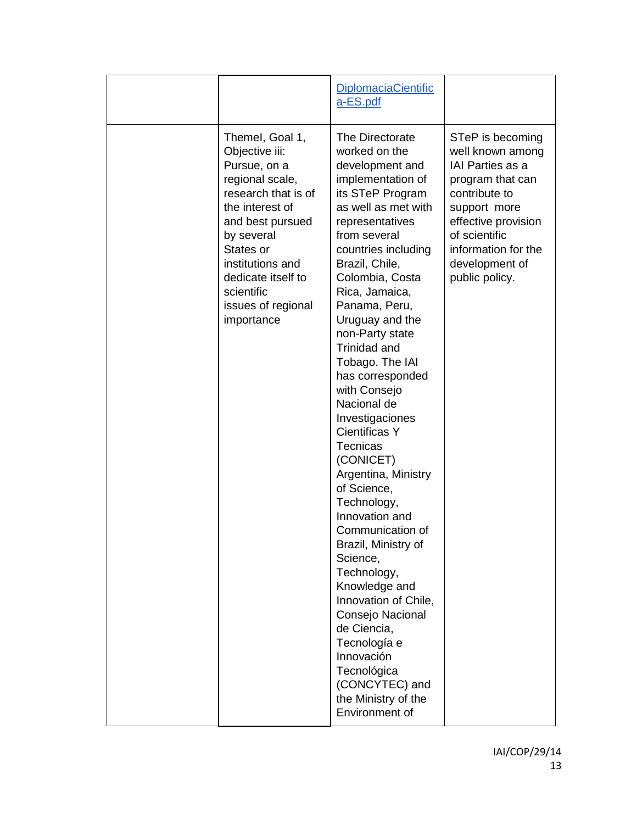|                                                                                                                                                                                                                                                           | <b>DiplomaciaCientific</b><br>a-ES.pdf                                                                                                                                                                                                                                                                                                                                                                                                                                                                                                                                                                                                                                                                                                                                                        |                                                                                                                                                                                                                  |
|-----------------------------------------------------------------------------------------------------------------------------------------------------------------------------------------------------------------------------------------------------------|-----------------------------------------------------------------------------------------------------------------------------------------------------------------------------------------------------------------------------------------------------------------------------------------------------------------------------------------------------------------------------------------------------------------------------------------------------------------------------------------------------------------------------------------------------------------------------------------------------------------------------------------------------------------------------------------------------------------------------------------------------------------------------------------------|------------------------------------------------------------------------------------------------------------------------------------------------------------------------------------------------------------------|
| Themel, Goal 1,<br>Objective iii:<br>Pursue, on a<br>regional scale,<br>research that is of<br>the interest of<br>and best pursued<br>by several<br>States or<br>institutions and<br>dedicate itself to<br>scientific<br>issues of regional<br>importance | The Directorate<br>worked on the<br>development and<br>implementation of<br>its STeP Program<br>as well as met with<br>representatives<br>from several<br>countries including<br>Brazil, Chile,<br>Colombia, Costa<br>Rica, Jamaica,<br>Panama, Peru,<br>Uruguay and the<br>non-Party state<br>Trinidad and<br>Tobago. The IAI<br>has corresponded<br>with Consejo<br>Nacional de<br>Investigaciones<br><b>Cientificas Y</b><br><b>Tecnicas</b><br>(CONICET)<br>Argentina, Ministry<br>of Science,<br>Technology,<br>Innovation and<br>Communication of<br>Brazil, Ministry of<br>Science,<br>Technology,<br>Knowledge and<br>Innovation of Chile,<br>Consejo Nacional<br>de Ciencia,<br>Tecnología e<br>Innovación<br>Tecnológica<br>(CONCYTEC) and<br>the Ministry of the<br>Environment of | STeP is becoming<br>well known among<br>IAI Parties as a<br>program that can<br>contribute to<br>support more<br>effective provision<br>of scientific<br>information for the<br>development of<br>public policy. |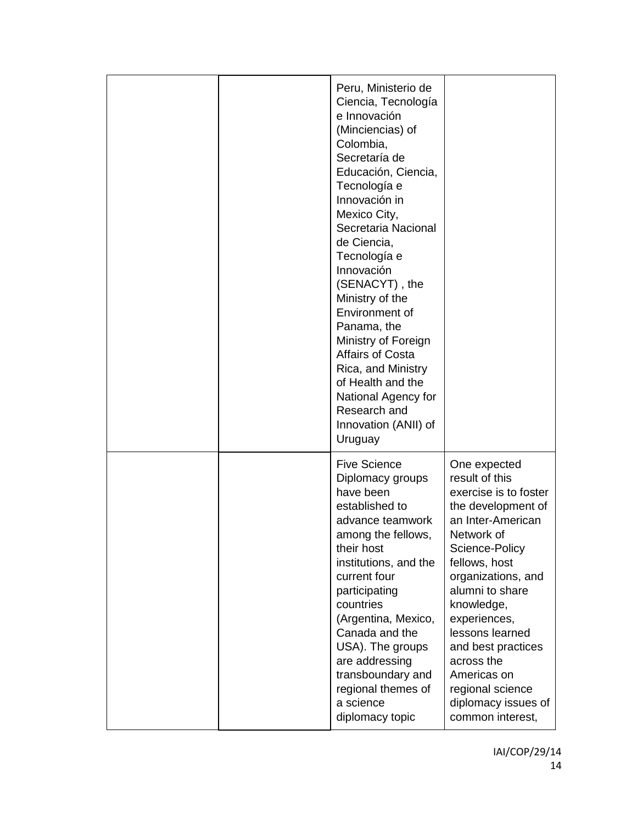| Peru, Ministerio de<br>Ciencia, Tecnología<br>e Innovación<br>(Minciencias) of<br>Colombia,<br>Secretaría de<br>Educación, Ciencia,<br>Tecnología e<br>Innovación in<br>Mexico City,<br>Secretaria Nacional<br>de Ciencia,<br>Tecnología e<br>Innovación<br>(SENACYT), the<br>Ministry of the<br>Environment of<br>Panama, the<br>Ministry of Foreign<br><b>Affairs of Costa</b><br>Rica, and Ministry<br>of Health and the<br>National Agency for<br>Research and<br>Innovation (ANII) of<br>Uruguay |                                                                                                                                                                                                                                                                                                                                                                 |
|-------------------------------------------------------------------------------------------------------------------------------------------------------------------------------------------------------------------------------------------------------------------------------------------------------------------------------------------------------------------------------------------------------------------------------------------------------------------------------------------------------|-----------------------------------------------------------------------------------------------------------------------------------------------------------------------------------------------------------------------------------------------------------------------------------------------------------------------------------------------------------------|
| <b>Five Science</b><br>Diplomacy groups<br>have been<br>established to<br>advance teamwork<br>among the fellows,<br>their host<br>institutions, and the<br>current four<br>participating<br>countries<br>(Argentina, Mexico,<br>Canada and the<br>USA). The groups<br>are addressing<br>transboundary and<br>regional themes of<br>a science<br>diplomacy topic                                                                                                                                       | One expected<br>result of this<br>exercise is to foster<br>the development of<br>an Inter-American<br>Network of<br>Science-Policy<br>fellows, host<br>organizations, and<br>alumni to share<br>knowledge,<br>experiences,<br>lessons learned<br>and best practices<br>across the<br>Americas on<br>regional science<br>diplomacy issues of<br>common interest, |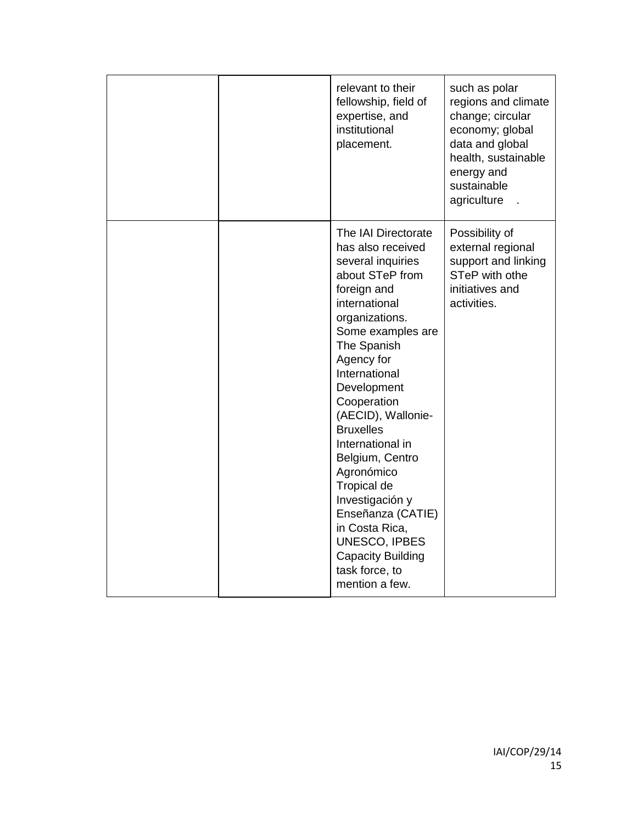| relevant to their<br>fellowship, field of<br>expertise, and<br>institutional<br>placement.                                                                                                                                                                                                                                                                                                                                                                                                   | such as polar<br>regions and climate<br>change; circular<br>economy; global<br>data and global<br>health, sustainable<br>energy and<br>sustainable<br>agriculture |
|----------------------------------------------------------------------------------------------------------------------------------------------------------------------------------------------------------------------------------------------------------------------------------------------------------------------------------------------------------------------------------------------------------------------------------------------------------------------------------------------|-------------------------------------------------------------------------------------------------------------------------------------------------------------------|
| The IAI Directorate<br>has also received<br>several inquiries<br>about STeP from<br>foreign and<br>international<br>organizations.<br>Some examples are<br>The Spanish<br>Agency for<br>International<br>Development<br>Cooperation<br>(AECID), Wallonie-<br><b>Bruxelles</b><br>International in<br>Belgium, Centro<br>Agronómico<br>Tropical de<br>Investigación y<br>Enseñanza (CATIE)<br>in Costa Rica,<br>UNESCO, IPBES<br><b>Capacity Building</b><br>task force, to<br>mention a few. | Possibility of<br>external regional<br>support and linking<br>STeP with othe<br>initiatives and<br>activities.                                                    |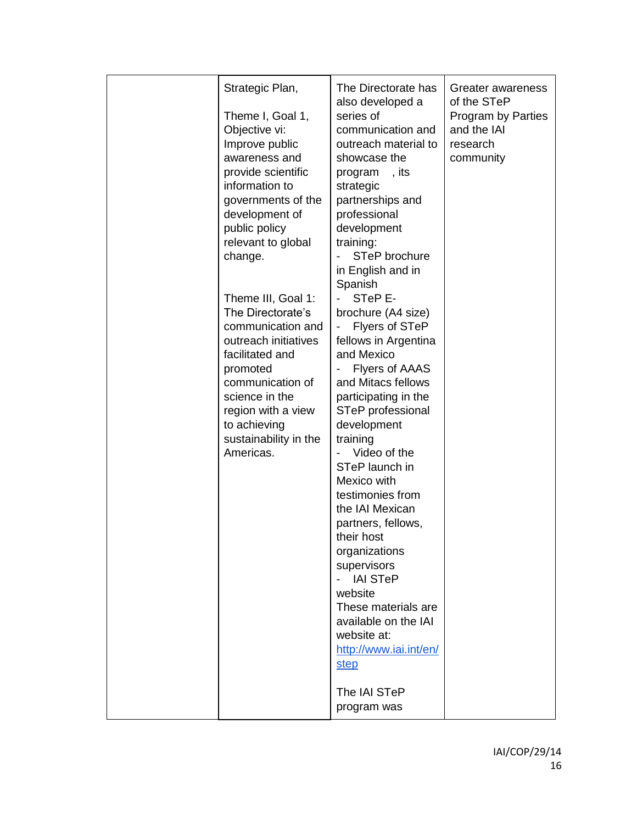| Strategic Plan,<br>Theme I, Goal 1,<br>Objective vi:<br>Improve public<br>awareness and<br>provide scientific<br>information to<br>governments of the<br>development of<br>public policy<br>relevant to global<br>change.<br>Theme III, Goal 1:<br>The Directorate's<br>communication and<br>outreach initiatives<br>facilitated and | The Directorate has<br>also developed a<br>series of<br>communication and<br>outreach material to<br>showcase the<br>,its<br>program<br>strategic<br>partnerships and<br>professional<br>development<br>training:<br>STeP brochure<br>in English and in<br>Spanish<br>STeP E-<br>brochure (A4 size)<br>Flyers of STeP<br>fellows in Argentina<br>and Mexico                                          | Greater awareness<br>of the STeP<br>Program by Parties<br>and the IAI<br>research<br>community |
|--------------------------------------------------------------------------------------------------------------------------------------------------------------------------------------------------------------------------------------------------------------------------------------------------------------------------------------|------------------------------------------------------------------------------------------------------------------------------------------------------------------------------------------------------------------------------------------------------------------------------------------------------------------------------------------------------------------------------------------------------|------------------------------------------------------------------------------------------------|
| science in the<br>region with a view<br>to achieving<br>sustainability in the<br>Americas.                                                                                                                                                                                                                                           | participating in the<br>STeP professional<br>development<br>training<br>Video of the<br>STeP launch in<br>Mexico with<br>testimonies from<br>the IAI Mexican<br>partners, fellows,<br>their host<br>organizations<br>supervisors<br><b>IAI STeP</b><br>website<br>These materials are<br>available on the IAI<br>website at:<br>http://www.iai.int/en/<br><b>step</b><br>The IAI STeP<br>program was |                                                                                                |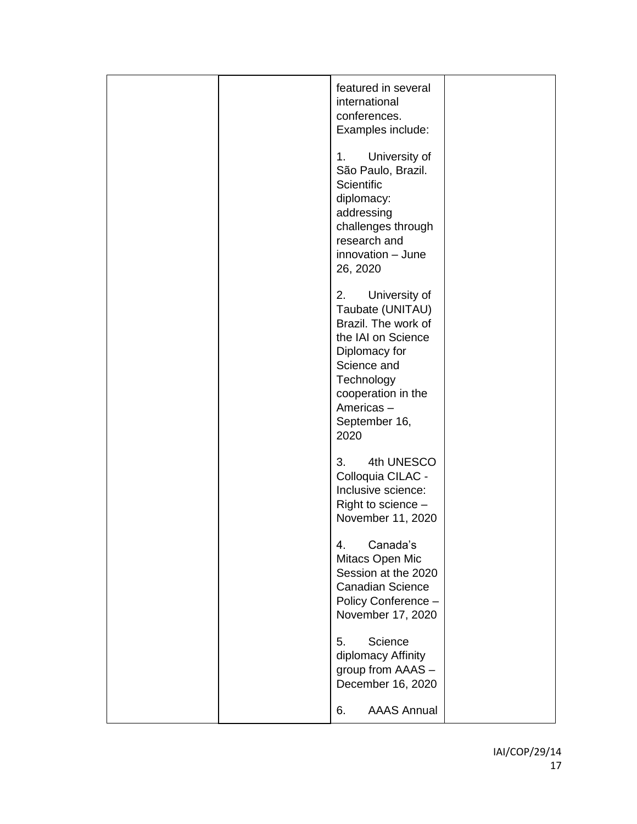|  | featured in several<br>international<br>conferences.<br>Examples include:                                                                                                                      |  |
|--|------------------------------------------------------------------------------------------------------------------------------------------------------------------------------------------------|--|
|  | 1.<br>University of<br>São Paulo, Brazil.<br><b>Scientific</b><br>diplomacy:<br>addressing<br>challenges through<br>research and<br>innovation - June<br>26, 2020                              |  |
|  | University of<br>2.<br>Taubate (UNITAU)<br>Brazil. The work of<br>the IAI on Science<br>Diplomacy for<br>Science and<br>Technology<br>cooperation in the<br>Americas-<br>September 16,<br>2020 |  |
|  | 3.<br>4th UNESCO<br>Colloquia CILAC -<br>Inclusive science:<br>Right to science -<br>November 11, 2020                                                                                         |  |
|  | Canada's<br>4.<br>Mitacs Open Mic<br>Session at the 2020<br><b>Canadian Science</b><br>Policy Conference -<br>November 17, 2020                                                                |  |
|  | Science<br>5.<br>diplomacy Affinity<br>group from AAAS -<br>December 16, 2020                                                                                                                  |  |
|  | <b>AAAS Annual</b><br>6.                                                                                                                                                                       |  |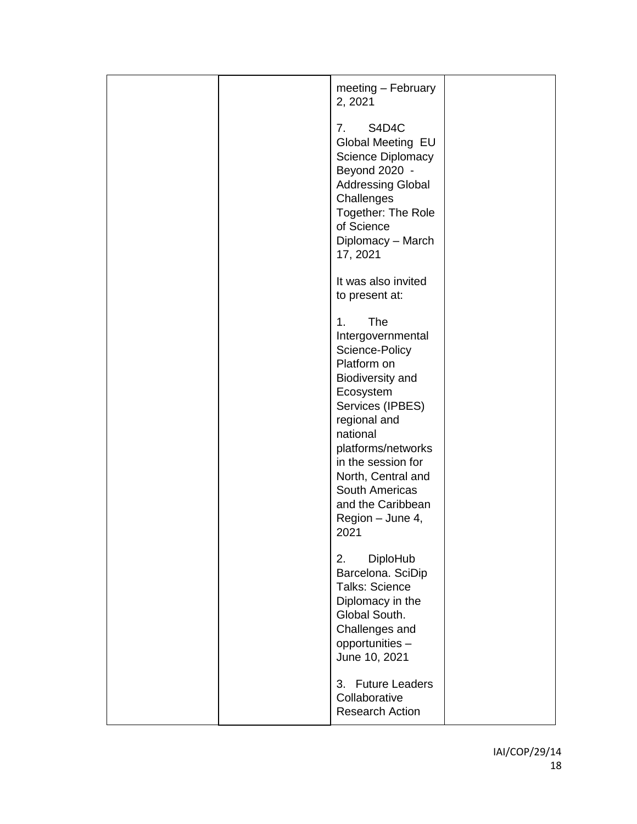|  | meeting - February<br>2, 2021                                                                                                                                                                                                                                                                |  |
|--|----------------------------------------------------------------------------------------------------------------------------------------------------------------------------------------------------------------------------------------------------------------------------------------------|--|
|  | S4D4C<br>7.<br>Global Meeting EU<br>Science Diplomacy<br>Beyond 2020 -<br><b>Addressing Global</b><br>Challenges<br>Together: The Role<br>of Science<br>Diplomacy - March<br>17, 2021                                                                                                        |  |
|  | It was also invited<br>to present at:                                                                                                                                                                                                                                                        |  |
|  | <b>The</b><br>1.<br>Intergovernmental<br>Science-Policy<br>Platform on<br>Biodiversity and<br>Ecosystem<br>Services (IPBES)<br>regional and<br>national<br>platforms/networks<br>in the session for<br>North, Central and<br>South Americas<br>and the Caribbean<br>Region - June 4,<br>2021 |  |
|  | 2.<br><b>DiploHub</b><br>Barcelona. SciDip<br><b>Talks: Science</b><br>Diplomacy in the<br>Global South.<br>Challenges and<br>opportunities -<br>June 10, 2021                                                                                                                               |  |
|  | 3. Future Leaders<br>Collaborative<br><b>Research Action</b>                                                                                                                                                                                                                                 |  |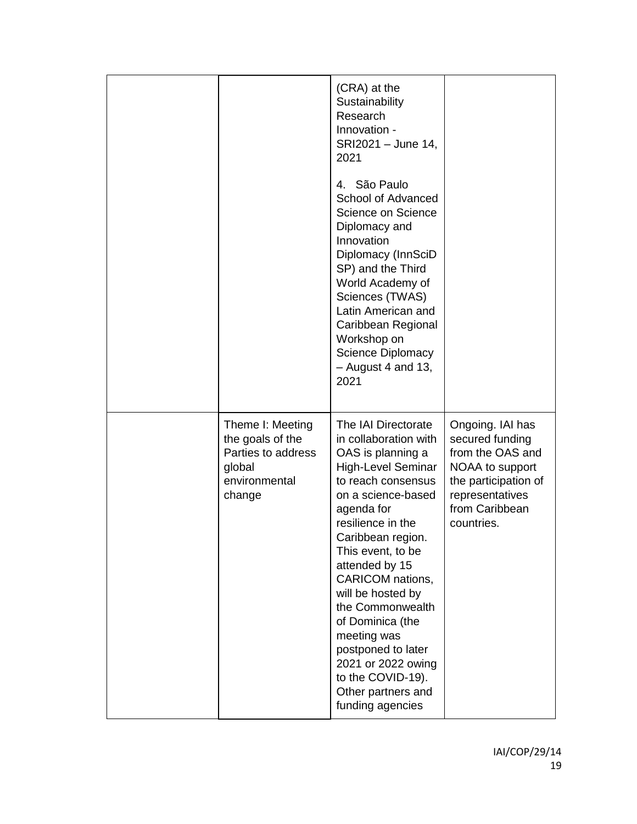|                                                                                                 | (CRA) at the<br>Sustainability<br>Research<br>Innovation -<br>SRI2021 - June 14,<br>2021<br>4. São Paulo<br>School of Advanced<br>Science on Science<br>Diplomacy and<br>Innovation<br>Diplomacy (InnSciD<br>SP) and the Third<br>World Academy of<br>Sciences (TWAS)<br>Latin American and<br>Caribbean Regional<br>Workshop on<br><b>Science Diplomacy</b><br>$-$ August 4 and 13,<br>2021                                                                |                                                                                                                                                       |
|-------------------------------------------------------------------------------------------------|-------------------------------------------------------------------------------------------------------------------------------------------------------------------------------------------------------------------------------------------------------------------------------------------------------------------------------------------------------------------------------------------------------------------------------------------------------------|-------------------------------------------------------------------------------------------------------------------------------------------------------|
| Theme I: Meeting<br>the goals of the<br>Parties to address<br>global<br>environmental<br>change | The IAI Directorate<br>in collaboration with<br>OAS is planning a<br><b>High-Level Seminar</b><br>to reach consensus<br>on a science-based<br>agenda for<br>resilience in the<br>Caribbean region.<br>This event, to be<br>attended by 15<br><b>CARICOM</b> nations,<br>will be hosted by<br>the Commonwealth<br>of Dominica (the<br>meeting was<br>postponed to later<br>2021 or 2022 owing<br>to the COVID-19).<br>Other partners and<br>funding agencies | Ongoing. IAI has<br>secured funding<br>from the OAS and<br>NOAA to support<br>the participation of<br>representatives<br>from Caribbean<br>countries. |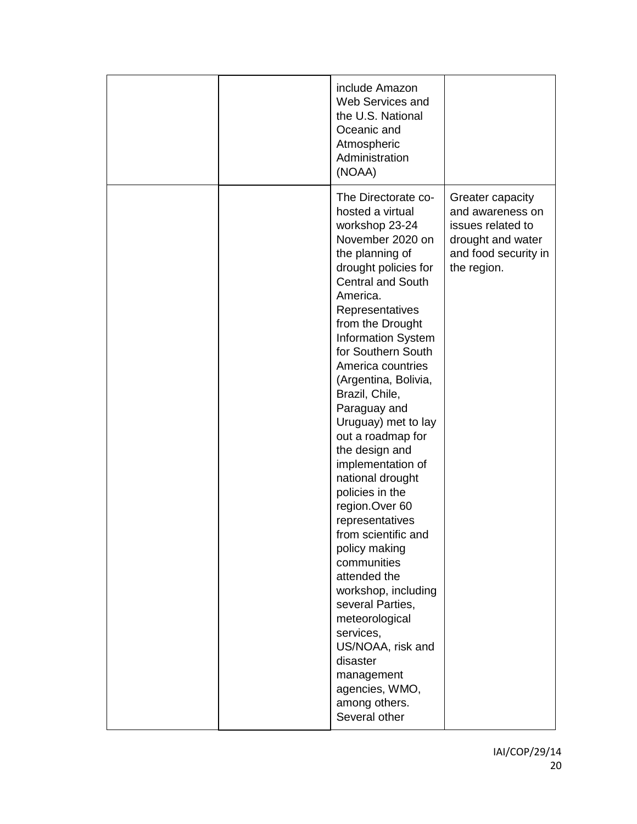|  | include Amazon<br>Web Services and<br>the U.S. National<br>Oceanic and<br>Atmospheric<br>Administration<br>(NOAA)                                                                                                                                                                                                                                                                                                                                                                                                                                                                                                                                                                                                                                            |                                                                                                                       |
|--|--------------------------------------------------------------------------------------------------------------------------------------------------------------------------------------------------------------------------------------------------------------------------------------------------------------------------------------------------------------------------------------------------------------------------------------------------------------------------------------------------------------------------------------------------------------------------------------------------------------------------------------------------------------------------------------------------------------------------------------------------------------|-----------------------------------------------------------------------------------------------------------------------|
|  | The Directorate co-<br>hosted a virtual<br>workshop 23-24<br>November 2020 on<br>the planning of<br>drought policies for<br><b>Central and South</b><br>America.<br>Representatives<br>from the Drought<br><b>Information System</b><br>for Southern South<br>America countries<br>(Argentina, Bolivia,<br>Brazil, Chile,<br>Paraguay and<br>Uruguay) met to lay<br>out a roadmap for<br>the design and<br>implementation of<br>national drought<br>policies in the<br>region.Over 60<br>representatives<br>from scientific and<br>policy making<br>communities<br>attended the<br>workshop, including<br>several Parties,<br>meteorological<br>services,<br>US/NOAA, risk and<br>disaster<br>management<br>agencies, WMO,<br>among others.<br>Several other | Greater capacity<br>and awareness on<br>issues related to<br>drought and water<br>and food security in<br>the region. |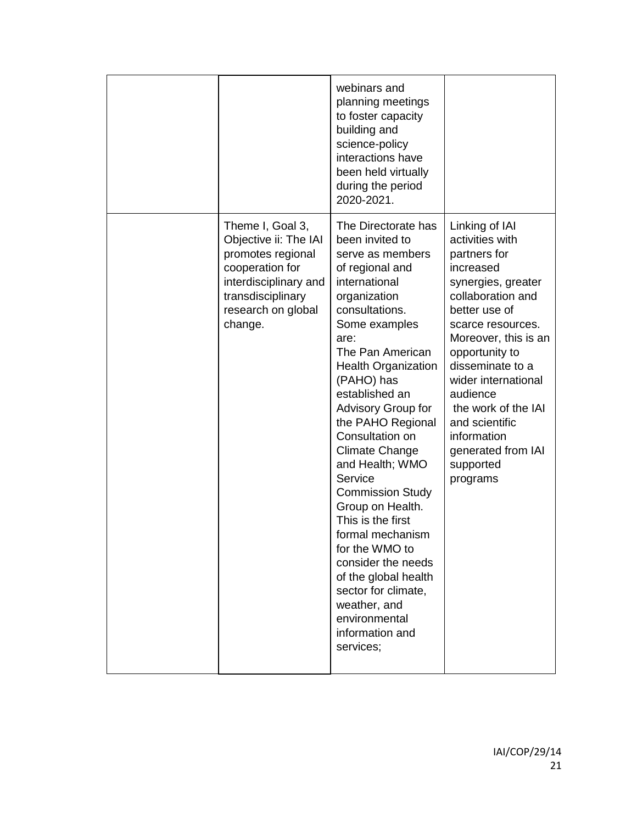|                                                                                                                                                                  | webinars and<br>planning meetings<br>to foster capacity<br>building and<br>science-policy<br>interactions have<br>been held virtually<br>during the period<br>2020-2021.                                                                                                                                                                                                                                                                                                                                                                                                                                         |                                                                                                                                                                                                                                                                                                                                                         |
|------------------------------------------------------------------------------------------------------------------------------------------------------------------|------------------------------------------------------------------------------------------------------------------------------------------------------------------------------------------------------------------------------------------------------------------------------------------------------------------------------------------------------------------------------------------------------------------------------------------------------------------------------------------------------------------------------------------------------------------------------------------------------------------|---------------------------------------------------------------------------------------------------------------------------------------------------------------------------------------------------------------------------------------------------------------------------------------------------------------------------------------------------------|
| Theme I, Goal 3,<br>Objective ii: The IAI<br>promotes regional<br>cooperation for<br>interdisciplinary and<br>transdisciplinary<br>research on global<br>change. | The Directorate has<br>been invited to<br>serve as members<br>of regional and<br>international<br>organization<br>consultations.<br>Some examples<br>are:<br>The Pan American<br><b>Health Organization</b><br>(PAHO) has<br>established an<br>Advisory Group for<br>the PAHO Regional<br>Consultation on<br><b>Climate Change</b><br>and Health; WMO<br>Service<br><b>Commission Study</b><br>Group on Health.<br>This is the first<br>formal mechanism<br>for the WMO to<br>consider the needs<br>of the global health<br>sector for climate,<br>weather, and<br>environmental<br>information and<br>services; | Linking of IAI<br>activities with<br>partners for<br>increased<br>synergies, greater<br>collaboration and<br>better use of<br>scarce resources.<br>Moreover, this is an<br>opportunity to<br>disseminate to a<br>wider international<br>audience<br>the work of the IAI<br>and scientific<br>information<br>generated from IAI<br>supported<br>programs |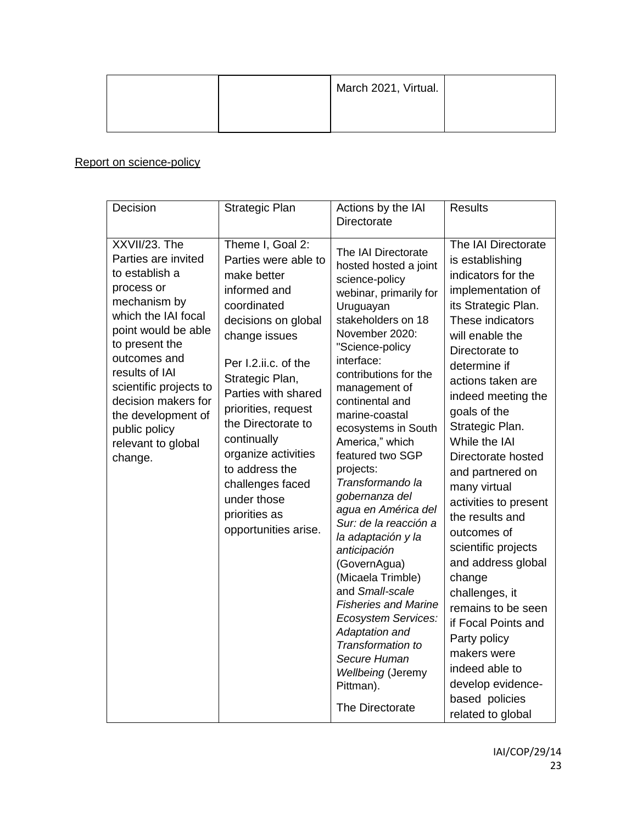|  | March 2021, Virtual. |  |
|--|----------------------|--|
|  |                      |  |

# Report on science-policy

| Decision                                                                                                                                                                                                                                                                                                        | Strategic Plan                                                                                                                                                                                                                                                                                                                                                                    | Actions by the IAI<br>Directorate                                                                                                                                                                                                                                                                                                                                                                                                                                                                                                                                                                                                                                                              | <b>Results</b>                                                                                                                                                                                                                                                                                                                                                                                                                                                                                                                                                                                                                           |
|-----------------------------------------------------------------------------------------------------------------------------------------------------------------------------------------------------------------------------------------------------------------------------------------------------------------|-----------------------------------------------------------------------------------------------------------------------------------------------------------------------------------------------------------------------------------------------------------------------------------------------------------------------------------------------------------------------------------|------------------------------------------------------------------------------------------------------------------------------------------------------------------------------------------------------------------------------------------------------------------------------------------------------------------------------------------------------------------------------------------------------------------------------------------------------------------------------------------------------------------------------------------------------------------------------------------------------------------------------------------------------------------------------------------------|------------------------------------------------------------------------------------------------------------------------------------------------------------------------------------------------------------------------------------------------------------------------------------------------------------------------------------------------------------------------------------------------------------------------------------------------------------------------------------------------------------------------------------------------------------------------------------------------------------------------------------------|
| XXVII/23. The<br>Parties are invited<br>to establish a<br>process or<br>mechanism by<br>which the IAI focal<br>point would be able<br>to present the<br>outcomes and<br>results of IAI<br>scientific projects to<br>decision makers for<br>the development of<br>public policy<br>relevant to global<br>change. | Theme I, Goal 2:<br>Parties were able to<br>make better<br>informed and<br>coordinated<br>decisions on global<br>change issues<br>Per I.2.ii.c. of the<br>Strategic Plan,<br>Parties with shared<br>priorities, request<br>the Directorate to<br>continually<br>organize activities<br>to address the<br>challenges faced<br>under those<br>priorities as<br>opportunities arise. | The IAI Directorate<br>hosted hosted a joint<br>science-policy<br>webinar, primarily for<br>Uruguayan<br>stakeholders on 18<br>November 2020:<br>"Science-policy<br>interface:<br>contributions for the<br>management of<br>continental and<br>marine-coastal<br>ecosystems in South<br>America," which<br>featured two SGP<br>projects:<br>Transformando la<br>gobernanza del<br>agua en América del<br>Sur: de la reacción a<br>la adaptación y la<br>anticipación<br>(GovernAgua)<br>(Micaela Trimble)<br>and Small-scale<br><b>Fisheries and Marine</b><br>Ecosystem Services:<br>Adaptation and<br>Transformation to<br>Secure Human<br>Wellbeing (Jeremy<br>Pittman).<br>The Directorate | The IAI Directorate<br>is establishing<br>indicators for the<br>implementation of<br>its Strategic Plan.<br>These indicators<br>will enable the<br>Directorate to<br>determine if<br>actions taken are<br>indeed meeting the<br>goals of the<br>Strategic Plan.<br>While the IAI<br>Directorate hosted<br>and partnered on<br>many virtual<br>activities to present<br>the results and<br>outcomes of<br>scientific projects<br>and address global<br>change<br>challenges, it<br>remains to be seen<br>if Focal Points and<br>Party policy<br>makers were<br>indeed able to<br>develop evidence-<br>based policies<br>related to global |
|                                                                                                                                                                                                                                                                                                                 |                                                                                                                                                                                                                                                                                                                                                                                   |                                                                                                                                                                                                                                                                                                                                                                                                                                                                                                                                                                                                                                                                                                |                                                                                                                                                                                                                                                                                                                                                                                                                                                                                                                                                                                                                                          |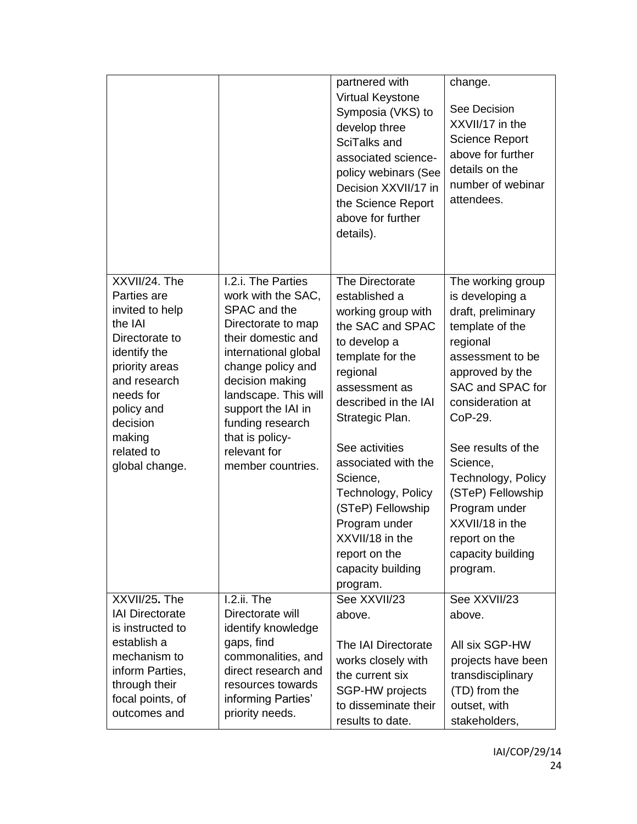|                                                                                                                                                                                                                 |                                                                                                                                                                                                                                                                                                | partnered with<br>Virtual Keystone<br>Symposia (VKS) to<br>develop three<br>SciTalks and<br>associated science-<br>policy webinars (See<br>Decision XXVII/17 in<br>the Science Report<br>above for further<br>details).                                                                                 | change.<br>See Decision<br>XXVII/17 in the<br><b>Science Report</b><br>above for further<br>details on the<br>number of webinar<br>attendees.                                                                                                                                                        |
|-----------------------------------------------------------------------------------------------------------------------------------------------------------------------------------------------------------------|------------------------------------------------------------------------------------------------------------------------------------------------------------------------------------------------------------------------------------------------------------------------------------------------|---------------------------------------------------------------------------------------------------------------------------------------------------------------------------------------------------------------------------------------------------------------------------------------------------------|------------------------------------------------------------------------------------------------------------------------------------------------------------------------------------------------------------------------------------------------------------------------------------------------------|
| XXVII/24. The<br>Parties are<br>invited to help<br>the IAI<br>Directorate to<br>identify the<br>priority areas<br>and research<br>needs for<br>policy and<br>decision<br>making<br>related to<br>global change. | I.2.i. The Parties<br>work with the SAC,<br>SPAC and the<br>Directorate to map<br>their domestic and<br>international global<br>change policy and<br>decision making<br>landscape. This will<br>support the IAI in<br>funding research<br>that is policy-<br>relevant for<br>member countries. | The Directorate<br>established a<br>working group with<br>the SAC and SPAC<br>to develop a<br>template for the<br>regional<br>assessment as<br>described in the IAI<br>Strategic Plan.<br>See activities<br>associated with the<br>Science,<br>Technology, Policy<br>(STeP) Fellowship<br>Program under | The working group<br>is developing a<br>draft, preliminary<br>template of the<br>regional<br>assessment to be<br>approved by the<br>SAC and SPAC for<br>consideration at<br>CoP-29.<br>See results of the<br>Science,<br>Technology, Policy<br>(STeP) Fellowship<br>Program under<br>XXVII/18 in the |
|                                                                                                                                                                                                                 |                                                                                                                                                                                                                                                                                                | XXVII/18 in the<br>report on the<br>capacity building<br>program.                                                                                                                                                                                                                                       | report on the<br>capacity building<br>program.                                                                                                                                                                                                                                                       |
| XXVII/25. The                                                                                                                                                                                                   | I.2.ii. The<br>Directorate will                                                                                                                                                                                                                                                                | See XXVII/23                                                                                                                                                                                                                                                                                            | See XXVII/23                                                                                                                                                                                                                                                                                         |
| <b>IAI Directorate</b><br>is instructed to                                                                                                                                                                      | identify knowledge                                                                                                                                                                                                                                                                             | above.                                                                                                                                                                                                                                                                                                  | above.                                                                                                                                                                                                                                                                                               |
| establish a                                                                                                                                                                                                     | gaps, find                                                                                                                                                                                                                                                                                     | The IAI Directorate                                                                                                                                                                                                                                                                                     | All six SGP-HW                                                                                                                                                                                                                                                                                       |
| mechanism to                                                                                                                                                                                                    | commonalities, and                                                                                                                                                                                                                                                                             | works closely with                                                                                                                                                                                                                                                                                      | projects have been                                                                                                                                                                                                                                                                                   |
| inform Parties,                                                                                                                                                                                                 | direct research and<br>resources towards                                                                                                                                                                                                                                                       | the current six                                                                                                                                                                                                                                                                                         | transdisciplinary                                                                                                                                                                                                                                                                                    |
| through their<br>focal points, of                                                                                                                                                                               | informing Parties'                                                                                                                                                                                                                                                                             | SGP-HW projects                                                                                                                                                                                                                                                                                         | (TD) from the                                                                                                                                                                                                                                                                                        |
| outcomes and                                                                                                                                                                                                    | priority needs.                                                                                                                                                                                                                                                                                | to disseminate their                                                                                                                                                                                                                                                                                    | outset, with                                                                                                                                                                                                                                                                                         |
|                                                                                                                                                                                                                 |                                                                                                                                                                                                                                                                                                | results to date.                                                                                                                                                                                                                                                                                        | stakeholders,                                                                                                                                                                                                                                                                                        |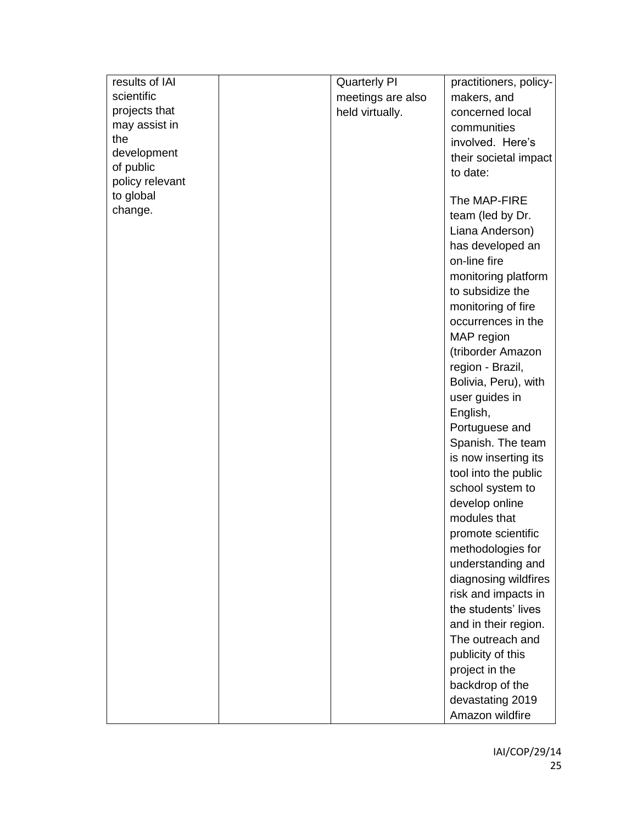| results of IAI  | <b>Quarterly PI</b> | practitioners, policy- |
|-----------------|---------------------|------------------------|
| scientific      | meetings are also   | makers, and            |
| projects that   | held virtually.     | concerned local        |
| may assist in   |                     | communities            |
| the             |                     | involved. Here's       |
| development     |                     | their societal impact  |
| of public       |                     | to date:               |
| policy relevant |                     |                        |
| to global       |                     | The MAP-FIRE           |
| change.         |                     | team (led by Dr.       |
|                 |                     | Liana Anderson)        |
|                 |                     |                        |
|                 |                     | has developed an       |
|                 |                     | on-line fire           |
|                 |                     | monitoring platform    |
|                 |                     | to subsidize the       |
|                 |                     | monitoring of fire     |
|                 |                     | occurrences in the     |
|                 |                     | MAP region             |
|                 |                     | (triborder Amazon      |
|                 |                     | region - Brazil,       |
|                 |                     | Bolivia, Peru), with   |
|                 |                     | user guides in         |
|                 |                     | English,               |
|                 |                     | Portuguese and         |
|                 |                     | Spanish. The team      |
|                 |                     | is now inserting its   |
|                 |                     | tool into the public   |
|                 |                     | school system to       |
|                 |                     | develop online         |
|                 |                     | modules that           |
|                 |                     | promote scientific     |
|                 |                     | methodologies for      |
|                 |                     | understanding and      |
|                 |                     |                        |
|                 |                     | diagnosing wildfires   |
|                 |                     | risk and impacts in    |
|                 |                     | the students' lives    |
|                 |                     | and in their region.   |
|                 |                     | The outreach and       |
|                 |                     | publicity of this      |
|                 |                     | project in the         |
|                 |                     | backdrop of the        |
|                 |                     | devastating 2019       |
|                 |                     | Amazon wildfire        |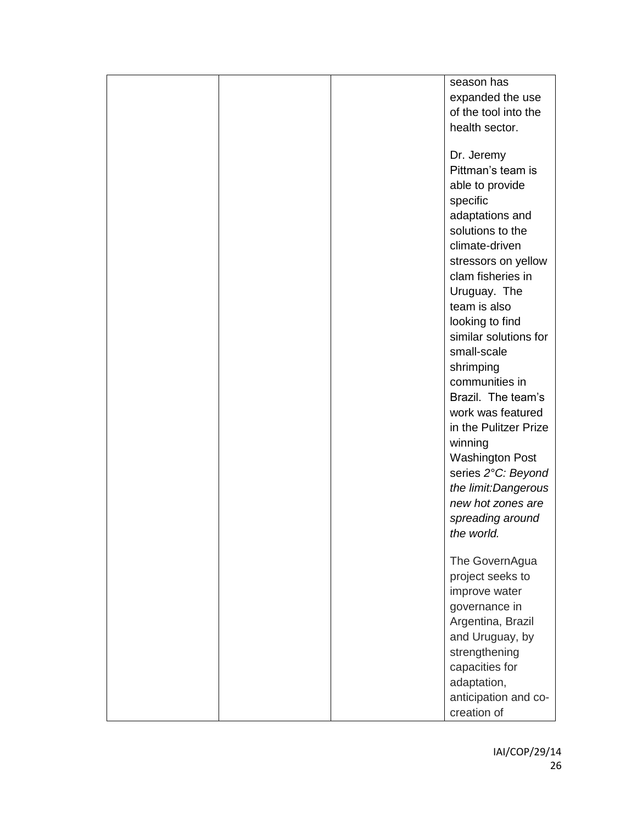|  | season has             |
|--|------------------------|
|  | expanded the use       |
|  | of the tool into the   |
|  | health sector.         |
|  |                        |
|  | Dr. Jeremy             |
|  | Pittman's team is      |
|  | able to provide        |
|  |                        |
|  | specific               |
|  | adaptations and        |
|  | solutions to the       |
|  | climate-driven         |
|  | stressors on yellow    |
|  | clam fisheries in      |
|  | Uruguay. The           |
|  | team is also           |
|  | looking to find        |
|  | similar solutions for  |
|  | small-scale            |
|  | shrimping              |
|  | communities in         |
|  | Brazil. The team's     |
|  | work was featured      |
|  |                        |
|  | in the Pulitzer Prize  |
|  | winning                |
|  | <b>Washington Post</b> |
|  | series 2°C: Beyond     |
|  | the limit:Dangerous    |
|  | new hot zones are      |
|  | spreading around       |
|  | the world.             |
|  |                        |
|  | The GovernAgua         |
|  | project seeks to       |
|  | improve water          |
|  | governance in          |
|  | Argentina, Brazil      |
|  | and Uruguay, by        |
|  | strengthening          |
|  | capacities for         |
|  | adaptation,            |
|  | anticipation and co-   |
|  | creation of            |
|  |                        |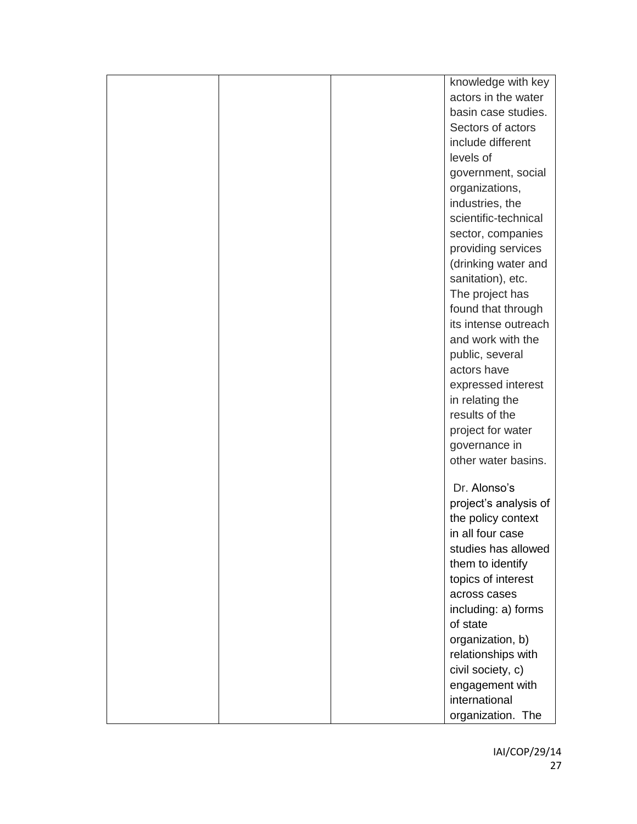|  | knowledge with key    |
|--|-----------------------|
|  | actors in the water   |
|  | basin case studies.   |
|  | Sectors of actors     |
|  | include different     |
|  | levels of             |
|  | government, social    |
|  | organizations,        |
|  | industries, the       |
|  | scientific-technical  |
|  | sector, companies     |
|  | providing services    |
|  | (drinking water and   |
|  | sanitation), etc.     |
|  | The project has       |
|  | found that through    |
|  | its intense outreach  |
|  | and work with the     |
|  | public, several       |
|  | actors have           |
|  | expressed interest    |
|  | in relating the       |
|  | results of the        |
|  | project for water     |
|  | governance in         |
|  | other water basins.   |
|  |                       |
|  | Dr. Alonso's          |
|  | project's analysis of |
|  | the policy context    |
|  | in all four case      |
|  | studies has allowed   |
|  | them to identify      |
|  | topics of interest    |
|  | across cases          |
|  | including: a) forms   |
|  | of state              |
|  | organization, b)      |
|  | relationships with    |
|  | civil society, c)     |
|  | engagement with       |
|  | international         |
|  | organization. The     |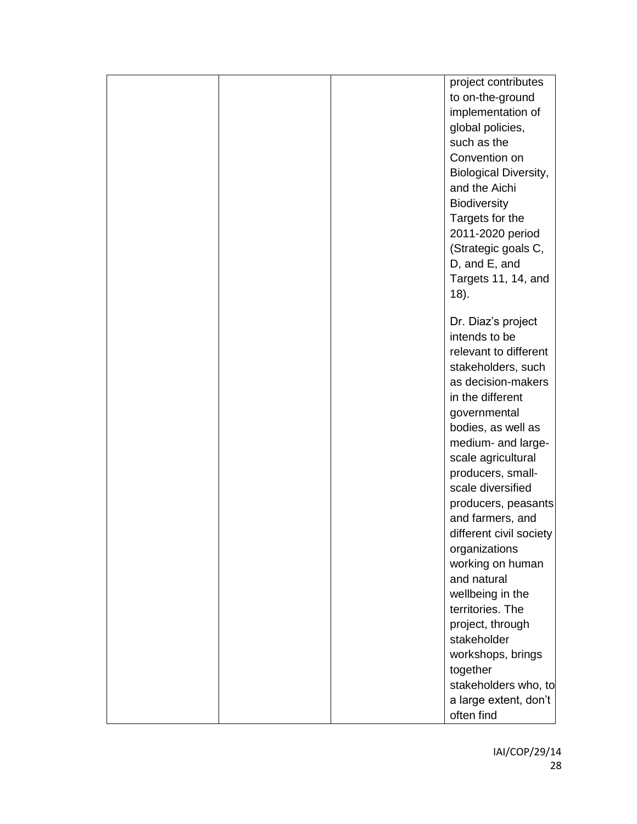|  | project contributes          |
|--|------------------------------|
|  | to on-the-ground             |
|  | implementation of            |
|  | global policies,             |
|  | such as the                  |
|  | Convention on                |
|  | <b>Biological Diversity,</b> |
|  | and the Aichi                |
|  | <b>Biodiversity</b>          |
|  | Targets for the              |
|  | 2011-2020 period             |
|  | (Strategic goals C,          |
|  |                              |
|  | D, and E, and                |
|  | Targets 11, 14, and          |
|  | 18).                         |
|  | Dr. Diaz's project           |
|  | intends to be                |
|  | relevant to different        |
|  | stakeholders, such           |
|  | as decision-makers           |
|  | in the different             |
|  | governmental                 |
|  | bodies, as well as           |
|  | medium- and large-           |
|  | scale agricultural           |
|  | producers, small-            |
|  | scale diversified            |
|  | producers, peasants          |
|  | and farmers, and             |
|  | different civil society      |
|  | organizations                |
|  | working on human             |
|  | and natural                  |
|  | wellbeing in the             |
|  | territories. The             |
|  | project, through             |
|  | stakeholder                  |
|  |                              |
|  | workshops, brings            |
|  | together                     |
|  | stakeholders who, to         |
|  | a large extent, don't        |
|  | often find                   |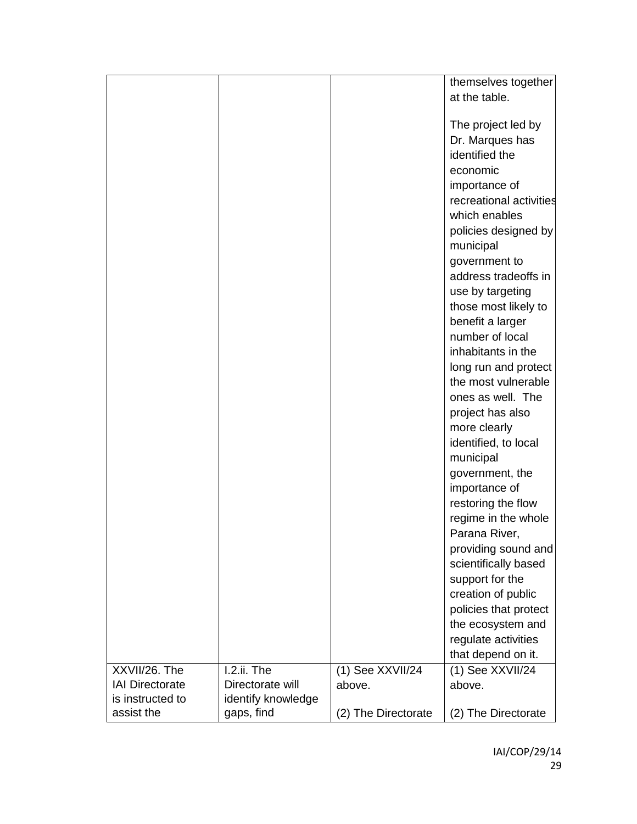|                        |                    |                     | themselves together                   |
|------------------------|--------------------|---------------------|---------------------------------------|
|                        |                    |                     | at the table.                         |
|                        |                    |                     |                                       |
|                        |                    |                     | The project led by                    |
|                        |                    |                     | Dr. Marques has                       |
|                        |                    |                     | identified the                        |
|                        |                    |                     | economic                              |
|                        |                    |                     | importance of                         |
|                        |                    |                     | recreational activities               |
|                        |                    |                     | which enables                         |
|                        |                    |                     | policies designed by                  |
|                        |                    |                     |                                       |
|                        |                    |                     | municipal                             |
|                        |                    |                     | government to<br>address tradeoffs in |
|                        |                    |                     |                                       |
|                        |                    |                     | use by targeting                      |
|                        |                    |                     | those most likely to                  |
|                        |                    |                     | benefit a larger                      |
|                        |                    |                     | number of local                       |
|                        |                    |                     | inhabitants in the                    |
|                        |                    |                     | long run and protect                  |
|                        |                    |                     | the most vulnerable                   |
|                        |                    |                     | ones as well. The                     |
|                        |                    |                     | project has also                      |
|                        |                    |                     | more clearly                          |
|                        |                    |                     | identified, to local                  |
|                        |                    |                     | municipal                             |
|                        |                    |                     | government, the                       |
|                        |                    |                     | importance of                         |
|                        |                    |                     | restoring the flow                    |
|                        |                    |                     | regime in the whole                   |
|                        |                    |                     | Parana River.                         |
|                        |                    |                     | providing sound and                   |
|                        |                    |                     | scientifically based                  |
|                        |                    |                     | support for the                       |
|                        |                    |                     | creation of public                    |
|                        |                    |                     | policies that protect                 |
|                        |                    |                     | the ecosystem and                     |
|                        |                    |                     | regulate activities                   |
|                        |                    |                     | that depend on it.                    |
| XXVII/26. The          | I.2.ii. The        | (1) See XXVII/24    | (1) See XXVII/24                      |
| <b>IAI Directorate</b> | Directorate will   | above.              | above.                                |
| is instructed to       | identify knowledge |                     |                                       |
| assist the             | gaps, find         | (2) The Directorate | (2) The Directorate                   |
|                        |                    |                     |                                       |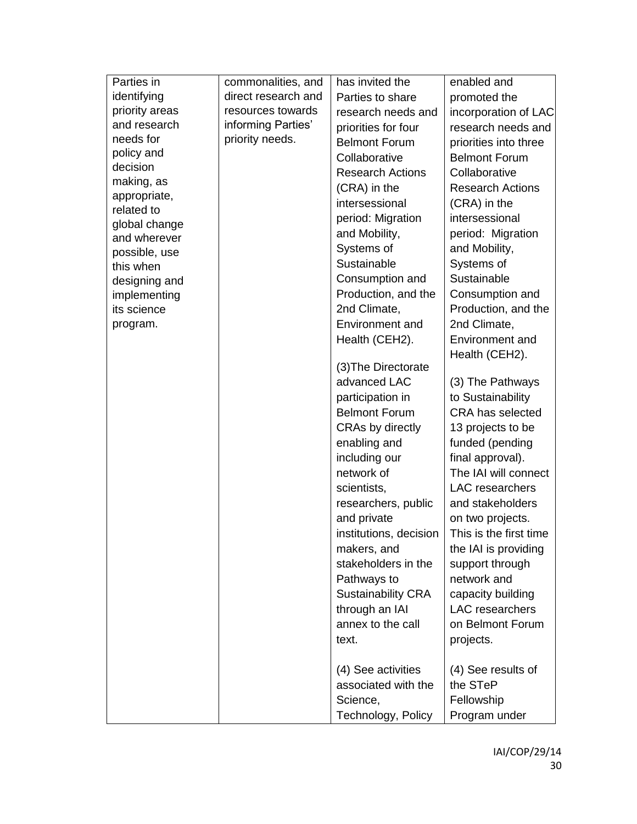| identifying<br>direct research and<br>Parties to share<br>promoted the<br>priority areas<br>resources towards<br>research needs and<br>and research<br>informing Parties'<br>priorities for four<br>needs for<br>priority needs.<br><b>Belmont Forum</b><br>priorities into three<br>policy and<br>Collaborative<br><b>Belmont Forum</b><br>decision |  |                         | enabled and            |
|------------------------------------------------------------------------------------------------------------------------------------------------------------------------------------------------------------------------------------------------------------------------------------------------------------------------------------------------------|--|-------------------------|------------------------|
|                                                                                                                                                                                                                                                                                                                                                      |  |                         |                        |
|                                                                                                                                                                                                                                                                                                                                                      |  |                         | incorporation of LAC   |
|                                                                                                                                                                                                                                                                                                                                                      |  |                         | research needs and     |
|                                                                                                                                                                                                                                                                                                                                                      |  |                         |                        |
|                                                                                                                                                                                                                                                                                                                                                      |  |                         |                        |
|                                                                                                                                                                                                                                                                                                                                                      |  | <b>Research Actions</b> | Collaborative          |
| making, as<br>(CRA) in the<br><b>Research Actions</b>                                                                                                                                                                                                                                                                                                |  |                         |                        |
| appropriate,<br>intersessional<br>(CRA) in the<br>related to                                                                                                                                                                                                                                                                                         |  |                         |                        |
| intersessional<br>period: Migration<br>global change                                                                                                                                                                                                                                                                                                 |  |                         |                        |
| and Mobility,<br>period: Migration<br>and wherever                                                                                                                                                                                                                                                                                                   |  |                         |                        |
| Systems of<br>and Mobility,<br>possible, use                                                                                                                                                                                                                                                                                                         |  |                         |                        |
| Sustainable<br>Systems of<br>this when                                                                                                                                                                                                                                                                                                               |  |                         |                        |
| Sustainable<br>Consumption and<br>designing and                                                                                                                                                                                                                                                                                                      |  |                         |                        |
| Production, and the<br>Consumption and<br>implementing                                                                                                                                                                                                                                                                                               |  |                         |                        |
| 2nd Climate,<br>its science                                                                                                                                                                                                                                                                                                                          |  |                         | Production, and the    |
| 2nd Climate,<br><b>Environment and</b><br>program.                                                                                                                                                                                                                                                                                                   |  |                         |                        |
| Environment and<br>Health (CEH2).                                                                                                                                                                                                                                                                                                                    |  |                         |                        |
| Health (CEH2).                                                                                                                                                                                                                                                                                                                                       |  |                         |                        |
| (3) The Directorate                                                                                                                                                                                                                                                                                                                                  |  |                         |                        |
| advanced LAC<br>(3) The Pathways                                                                                                                                                                                                                                                                                                                     |  |                         |                        |
| to Sustainability<br>participation in                                                                                                                                                                                                                                                                                                                |  |                         |                        |
| <b>Belmont Forum</b><br>CRA has selected                                                                                                                                                                                                                                                                                                             |  |                         |                        |
| CRAs by directly<br>13 projects to be                                                                                                                                                                                                                                                                                                                |  |                         |                        |
| enabling and<br>funded (pending                                                                                                                                                                                                                                                                                                                      |  |                         |                        |
| including our<br>final approval).                                                                                                                                                                                                                                                                                                                    |  |                         |                        |
| network of                                                                                                                                                                                                                                                                                                                                           |  |                         | The IAI will connect   |
| scientists,<br>LAC researchers                                                                                                                                                                                                                                                                                                                       |  |                         |                        |
| and stakeholders<br>researchers, public                                                                                                                                                                                                                                                                                                              |  |                         |                        |
| and private<br>on two projects.                                                                                                                                                                                                                                                                                                                      |  |                         |                        |
| institutions, decision                                                                                                                                                                                                                                                                                                                               |  |                         | This is the first time |
| makers, and<br>the IAI is providing                                                                                                                                                                                                                                                                                                                  |  |                         |                        |
| stakeholders in the<br>support through                                                                                                                                                                                                                                                                                                               |  |                         |                        |
| network and<br>Pathways to                                                                                                                                                                                                                                                                                                                           |  |                         |                        |
| <b>Sustainability CRA</b><br>capacity building                                                                                                                                                                                                                                                                                                       |  |                         |                        |
| LAC researchers<br>through an IAI                                                                                                                                                                                                                                                                                                                    |  |                         |                        |
| annex to the call<br>on Belmont Forum                                                                                                                                                                                                                                                                                                                |  |                         |                        |
| projects.<br>text.                                                                                                                                                                                                                                                                                                                                   |  |                         |                        |
| (4) See activities<br>(4) See results of                                                                                                                                                                                                                                                                                                             |  |                         |                        |
| the STeP<br>associated with the                                                                                                                                                                                                                                                                                                                      |  |                         |                        |
| Fellowship<br>Science,                                                                                                                                                                                                                                                                                                                               |  |                         |                        |
| Technology, Policy<br>Program under                                                                                                                                                                                                                                                                                                                  |  |                         |                        |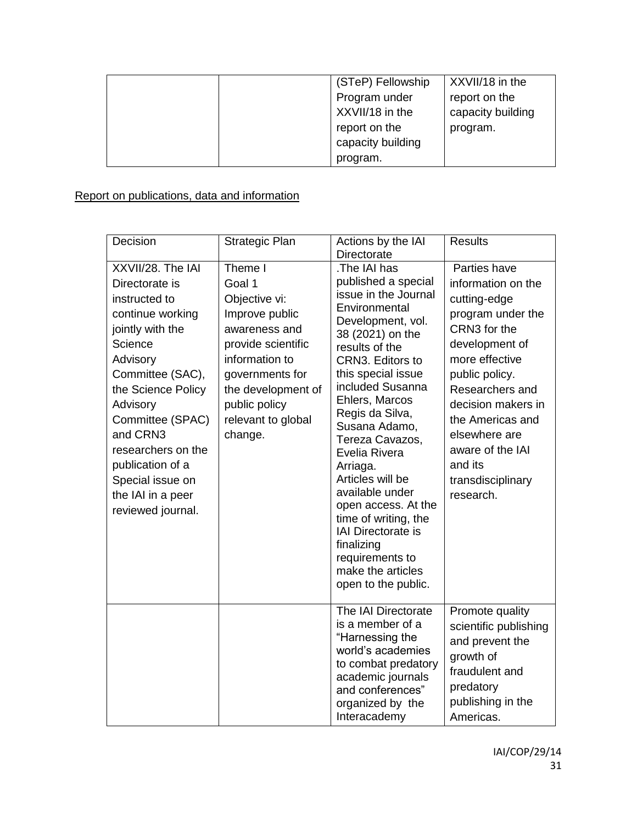|  | (STeP) Fellowship | XXVII/18 in the   |
|--|-------------------|-------------------|
|  | Program under     | report on the     |
|  | XXVII/18 in the   | capacity building |
|  | report on the     | program.          |
|  | capacity building |                   |
|  | program.          |                   |

## Report on publications, data and information

| Decision                                                                                                                                                                                                                                                                                                          | Strategic Plan                                                                                                                                                                                           | Actions by the IAI<br><b>Directorate</b>                                                                                                                                                                                                                                                                                                                                                                                                                                                            | <b>Results</b>                                                                                                                                                                                                                                                                               |
|-------------------------------------------------------------------------------------------------------------------------------------------------------------------------------------------------------------------------------------------------------------------------------------------------------------------|----------------------------------------------------------------------------------------------------------------------------------------------------------------------------------------------------------|-----------------------------------------------------------------------------------------------------------------------------------------------------------------------------------------------------------------------------------------------------------------------------------------------------------------------------------------------------------------------------------------------------------------------------------------------------------------------------------------------------|----------------------------------------------------------------------------------------------------------------------------------------------------------------------------------------------------------------------------------------------------------------------------------------------|
| XXVII/28. The IAI<br>Directorate is<br>instructed to<br>continue working<br>jointly with the<br>Science<br>Advisory<br>Committee (SAC),<br>the Science Policy<br>Advisory<br>Committee (SPAC)<br>and CRN3<br>researchers on the<br>publication of a<br>Special issue on<br>the IAI in a peer<br>reviewed journal. | Theme I<br>Goal 1<br>Objective vi:<br>Improve public<br>awareness and<br>provide scientific<br>information to<br>governments for<br>the development of<br>public policy<br>relevant to global<br>change. | The IAI has<br>published a special<br>issue in the Journal<br>Environmental<br>Development, vol.<br>38 (2021) on the<br>results of the<br>CRN3. Editors to<br>this special issue<br>included Susanna<br>Ehlers, Marcos<br>Regis da Silva,<br>Susana Adamo,<br>Tereza Cavazos,<br>Evelia Rivera<br>Arriaga.<br>Articles will be<br>available under<br>open access. At the<br>time of writing, the<br>IAI Directorate is<br>finalizing<br>requirements to<br>make the articles<br>open to the public. | Parties have<br>information on the<br>cutting-edge<br>program under the<br>CRN3 for the<br>development of<br>more effective<br>public policy.<br>Researchers and<br>decision makers in<br>the Americas and<br>elsewhere are<br>aware of the IAI<br>and its<br>transdisciplinary<br>research. |
|                                                                                                                                                                                                                                                                                                                   |                                                                                                                                                                                                          | The IAI Directorate<br>is a member of a<br>"Harnessing the<br>world's academies<br>to combat predatory<br>academic journals<br>and conferences"<br>organized by the<br>Interacademy                                                                                                                                                                                                                                                                                                                 | Promote quality<br>scientific publishing<br>and prevent the<br>growth of<br>fraudulent and<br>predatory<br>publishing in the<br>Americas.                                                                                                                                                    |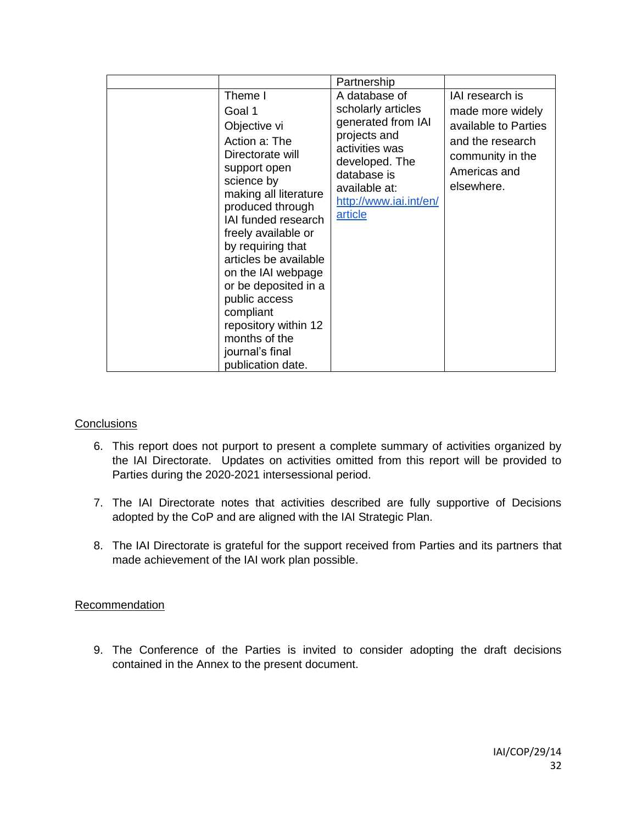|                                                                                                                                                                                                                                                                                                                                                                                                            | Partnership                                                                                                                                                                               |                                                                                                                                   |
|------------------------------------------------------------------------------------------------------------------------------------------------------------------------------------------------------------------------------------------------------------------------------------------------------------------------------------------------------------------------------------------------------------|-------------------------------------------------------------------------------------------------------------------------------------------------------------------------------------------|-----------------------------------------------------------------------------------------------------------------------------------|
| Theme I<br>Goal 1<br>Objective vi<br>Action a: The<br>Directorate will<br>support open<br>science by<br>making all literature<br>produced through<br>IAI funded research<br>freely available or<br>by requiring that<br>articles be available<br>on the IAI webpage<br>or be deposited in a<br>public access<br>compliant<br>repository within 12<br>months of the<br>journal's final<br>publication date. | A database of<br>scholarly articles<br>generated from IAI<br>projects and<br>activities was<br>developed. The<br>database is<br>available at:<br>http://www.iai.int/en/<br><u>article</u> | IAI research is<br>made more widely<br>available to Parties<br>and the research<br>community in the<br>Americas and<br>elsewhere. |

#### **Conclusions**

- 6. This report does not purport to present a complete summary of activities organized by the IAI Directorate. Updates on activities omitted from this report will be provided to Parties during the 2020-2021 intersessional period.
- 7. The IAI Directorate notes that activities described are fully supportive of Decisions adopted by the CoP and are aligned with the IAI Strategic Plan.
- 8. The IAI Directorate is grateful for the support received from Parties and its partners that made achievement of the IAI work plan possible.

### **Recommendation**

9. The Conference of the Parties is invited to consider adopting the draft decisions contained in the Annex to the present document.